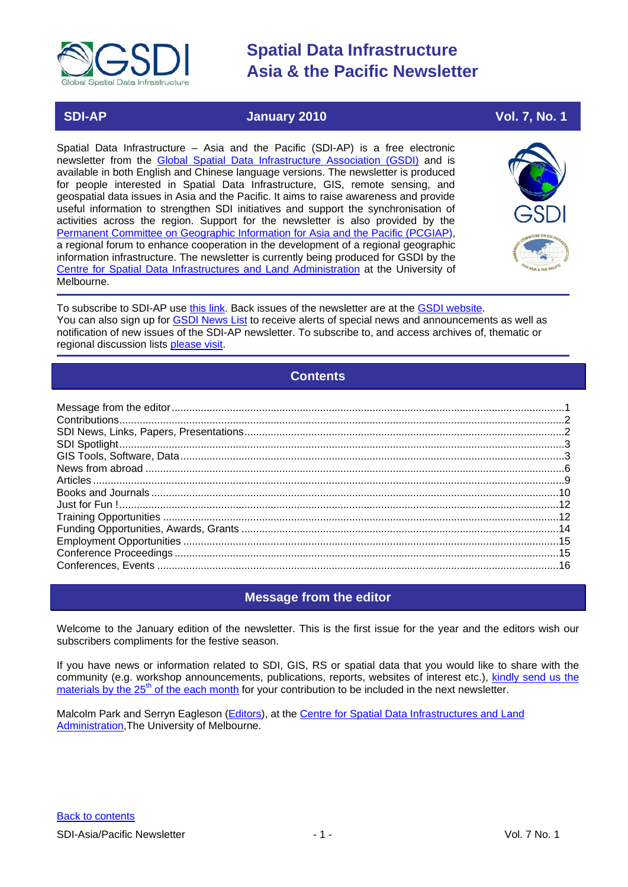

## **SDI-AP January 2010 Vol. 7, No. 1**

Spatial Data Infrastructure – Asia and the Pacific (SDI-AP) is a free electronic newsletter from the [Global Spatial Data Infrastructure Association \(GSDI\)](http://www.gsdi.org/) and is available in both English and Chinese language versions. The newsletter is produced for people interested in Spatial Data Infrastructure, GIS, remote sensing, and geospatial data issues in Asia and the Pacific. It aims to raise awareness and provide useful information to strengthen SDI initiatives and support the synchronisation of activities across the region. Support for the newsletter is also provided by the [Permanent Committee on Geographic Information for Asia and the Pacific \(PCGIAP\)](http://www.pcgiap.org/), a regional forum to enhance cooperation in the development of a regional geographic information infrastructure. The newsletter is currently being produced for GSDI by the [Centre for Spatial Data Infrastructures and Land Administration](http://www.csdila.unimelb.edu.au/) at the University of Melbourne.



To subscribe to SDI-AP use [this link.](http://www.gsdi.org/newslist/gsdisubscribe.asp) Back issues of the newsletter are at the [GSDI website.](http://www.gsdi.org/newsletters.asp) You can also sign up for [GSDI News List](http://www.gsdi.org/newslist/gsdisubscribe.asp) to receive alerts of special news and announcements as well as notification of new issues of the SDI-AP newsletter. To subscribe to, and access archives of, thematic or regional discussion lists [please visit.](http://www.gsdi.org/discussionlists.asp)

# **Contents**

<span id="page-0-0"></span>

### **Message from the editor**

<span id="page-0-1"></span>Welcome to the January edition of the newsletter. This is the first issue for the year and the editors wish our subscribers compliments for the festive season.

If you have news or information related to SDI, GIS, RS or spatial data that you would like to share with the community (e.g. workshop announcements, publications, reports, websites of interest etc.), [kindly send us](mailto:sdi-ap@gsdi.org) the materials by the  $25<sup>th</sup>$  of the each month for your contribution to be included in the next newsletter.

Malcolm Park and Serryn Eagleson [\(Editors\)](mailto:Editor.SDIAP@gmail.com), at the [Centre for Spatial Data Infrastructures and Land](http://www.csdila.unimelb.edu.au/)  [Administration,](http://www.csdila.unimelb.edu.au/)The University of Melbourne.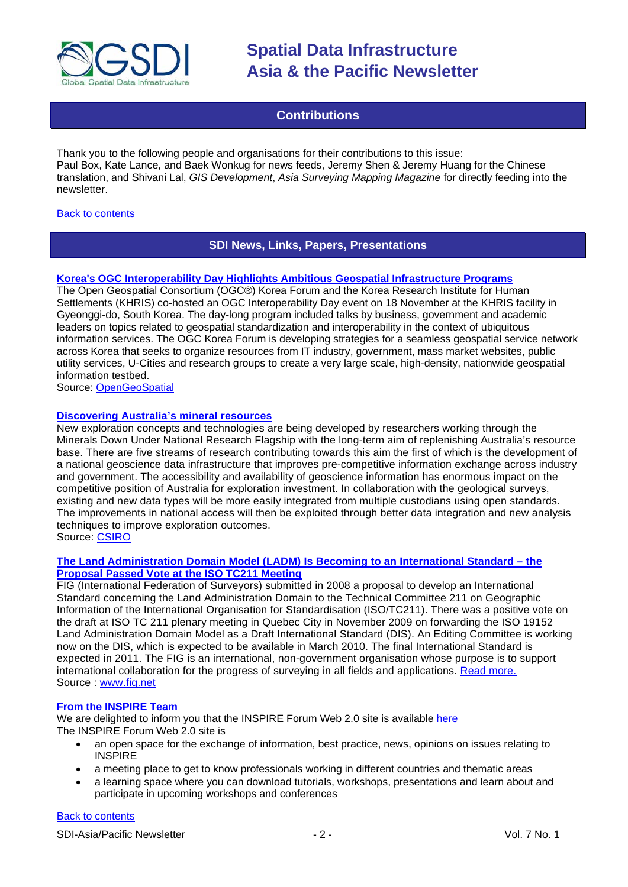

# **Contributions**

<span id="page-1-0"></span>Thank you to the following people and organisations for their contributions to this issue: Paul Box, Kate Lance, and Baek Wonkug for news feeds, Jeremy Shen & Jeremy Huang for the Chinese translation, and Shivani Lal, *GIS Development*, *Asia Surveying Mapping Magazine* for directly feeding into the newsletter.

#### <span id="page-1-1"></span>[Back to contents](#page-0-0)

### **SDI News, Links, Papers, Presentations**

#### **[Korea's OGC Interoperability Day Highlights Ambitious Geospatial Infrastructure Programs](http://www.opengeospatial.org/pressroom/pressreleases/1103)**

The Open Geospatial Consortium (OGC®) Korea Forum and the Korea Research Institute for Human Settlements (KHRIS) co-hosted an OGC Interoperability Day event on 18 November at the KHRIS facility in Gyeonggi-do, South Korea. The day-long program included talks by business, government and academic leaders on topics related to geospatial standardization and interoperability in the context of ubiquitous information services. The OGC Korea Forum is developing strategies for a seamless geospatial service network across Korea that seeks to organize resources from IT industry, government, mass market websites, public utility services, U-Cities and research groups to create a very large scale, high-density, nationwide geospatial information testbed.

Source: [OpenGeoSpatial](http://www.opengeospatial.org/pressroom/pressreleases/1103)

#### **[Discovering Australia's mineral resources](http://www.csiro.au/science/Discovering-mineral-resources.html)**

New exploration concepts and technologies are being developed by researchers working through the Minerals Down Under National Research Flagship with the long-term aim of replenishing Australia's resource base. There are five streams of research contributing towards this aim the first of which is the development of a national geoscience data infrastructure that improves pre-competitive information exchange across industry and government. The accessibility and availability of geoscience information has enormous impact on the competitive position of Australia for exploration investment. In collaboration with the geological surveys, existing and new data types will be more easily integrated from multiple custodians using open standards. The improvements in national access will then be exploited through better data integration and new analysis techniques to improve exploration outcomes. Source: [CSIRO](http://www.csiro.au/science/Discovering-mineral-resources.html)

#### **[The Land Administration Domain Model \(LADM\) Is Becoming to an International Standard –](http://www.fig.net/news/news_2009/canada_november_2009.htm) the [Proposal Passed Vote at the ISO TC211 Meeting](http://www.fig.net/news/news_2009/canada_november_2009.htm)**

FIG (International Federation of Surveyors) submitted in 2008 a proposal to develop an International Standard concerning the Land Administration Domain to the Technical Committee 211 on Geographic Information of the International Organisation for Standardisation (ISO/TC211). There was a positive vote on the draft at ISO TC 211 plenary meeting in Quebec City in November 2009 on forwarding the ISO 19152 Land Administration Domain Model as a Draft International Standard (DIS). An Editing Committee is working now on the DIS, which is expected to be available in March 2010. The final International Standard is expected in 2011. The FIG is an international, non-government organisation whose purpose is to support international collaboration for the progress of surveying in all fields and applications. [Read more.](http://www.fig.net/news/news_2009/canada_november_2009.htm) Source : www.fig.net

#### **From the INSPIRE Team**

We are delighted to inform you that the INSPIRE Forum Web 2.0 site is available [here](http://inspire-forum.jrc.ec.europa.eu/) The INSPIRE Forum Web 2.0 site is

- an open space for the exchange of information, best practice, news, opinions on issues relating to **INSPIRE**
- a meeting place to get to know professionals working in different countries and thematic areas
- a learning space where you can download tutorials, workshops, presentations and learn about and participate in upcoming workshops and conferences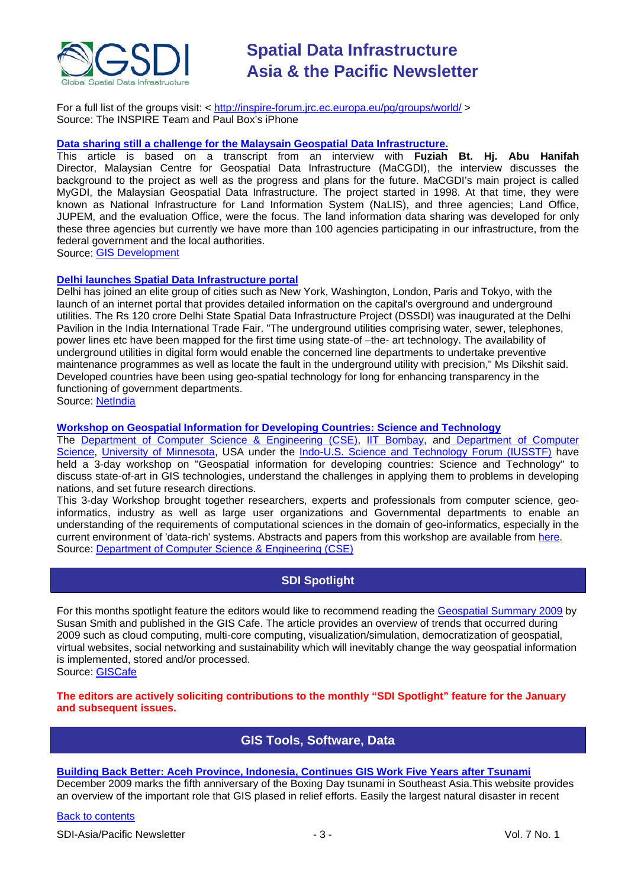

For a full list of the groups visit: <<http://inspire-forum.jrc.ec.europa.eu/pg/groups/world/> > Source: The INSPIRE Team and Paul Box's iPhone

#### **[Data sharing still a challenge for the Malaysain Geospatial Data Infrastructure.](http://www.gisdevelopment.net/magazine/global/2009/December/50.htm)**

This article is based on a transcript from an interview with **Fuziah Bt. Hj. Abu Hanifah** Director, Malaysian Centre for Geospatial Data Infrastructure (MaCGDI), the interview discusses the background to the project as well as the progress and plans for the future. MaCGDI's main project is called MyGDI, the Malaysian Geospatial Data Infrastructure. The project started in 1998. At that time, they were known as National Infrastructure for Land Information System (NaLIS), and three agencies; Land Office, JUPEM, and the evaluation Office, were the focus. The land information data sharing was developed for only these three agencies but currently we have more than 100 agencies participating in our infrastructure, from the federal government and the local authorities.

Source: [GIS Development](http://www.gisdevelopment.net/magazine/global/2009/December/50.htm)

#### **[Delhi launches Spatial Data Infrastructure portal](http://netindian.in/news/2009/11/26/0004184/delhi-launches-spatial-data-infrastructure-portal)**

Delhi has joined an elite group of cities such as New York, Washington, London, Paris and Tokyo, with the launch of an internet portal that provides detailed information on the capital's overground and underground utilities. The Rs 120 crore Delhi State Spatial Data Infrastructure Project (DSSDI) was inaugurated at the Delhi Pavilion in the India International Trade Fair. "The underground utilities comprising water, sewer, telephones, power lines etc have been mapped for the first time using state-of –the- art technology. The availability of underground utilities in digital form would enable the concerned line departments to undertake preventive maintenance programmes as well as locate the fault in the underground utility with precision," Ms Dikshit said. Developed countries have been using geo-spatial technology for long for enhancing transparency in the functioning of government departments. Source: [NetIndia](http://netindian.in/news/2009/11/26/0004184/delhi-launches-spatial-data-infrastructure-portal)

### **[Workshop on Geospatial Information for Developing Countries: Science and Technology](http://www.cse.iitb.ac.in/gise/workshop)**

The [Department of Computer Science & Engineering \(CSE\),](http://www.cse.iitb.ac.in/) [IIT Bombay,](http://www.iitb.ac.in/) and [Department of Computer](http://www.cs.umn.edu/)  [Science,](http://www.cs.umn.edu/) [University of Minnesota,](http://www1.umn.edu/twincities/index.php) USA under the [Indo-U.S. Science and Technology Forum \(IUSSTF\)](http://www.indousstf.org/) have held a 3-day workshop on "Geospatial information for developing countries: Science and Technology" to discuss state-of-art in GIS technologies, understand the challenges in applying them to problems in developing nations, and set future research directions.

This 3-day Workshop brought together researchers, experts and professionals from computer science, geoinformatics, industry as well as large user organizations and Governmental departments to enable an understanding of the requirements of computational sciences in the domain of geo-informatics, especially in the current environment of 'data-rich' systems. Abstracts and papers from this workshop are available from [here.](http://www.cse.iitb.ac.in/gise/workshop) Source: [Department of Computer Science & Engineering \(CSE\)](http://www.cse.iitb.ac.in/)

# **SDI Spotlight**

<span id="page-2-0"></span>For this months spotlight feature the editors would like to recommend reading the [Geospatial Summary 2009](http://www10.giscafe.com/nbc/articles/view_weekly.php?articleid=772003) by Susan Smith and published in the GIS Cafe. The article provides an overview of trends that occurred during 2009 such as cloud computing, multi-core computing, visualization/simulation, democratization of geospatial, virtual websites, social networking and sustainability which will inevitably change the way geospatial information is implemented, stored and/or processed.

Source: [GISCafe](http://www10.giscafe.com/nbc/articles/view_weekly.php?articleid=772003&page_no=3)

<span id="page-2-1"></span>**The editors are actively soliciting contributions to the monthly "SDI Spotlight" feature for the January and subsequent issues.**

### **GIS Tools, Software, Data**

#### **[Building Back Better: Aceh Province, Indonesia, Continues GIS Work Five Years after Tsunami](http://www.vector1media.com/articles/features/10677-building-back-better-aceh-province-indonesia-continues-gis-work-five-years-after-tsunami)**

December 2009 marks the fifth anniversary of the Boxing Day tsunami in Southeast Asia.This website provides an overview of the important role that GIS plased in relief efforts. Easily the largest natural disaster in recent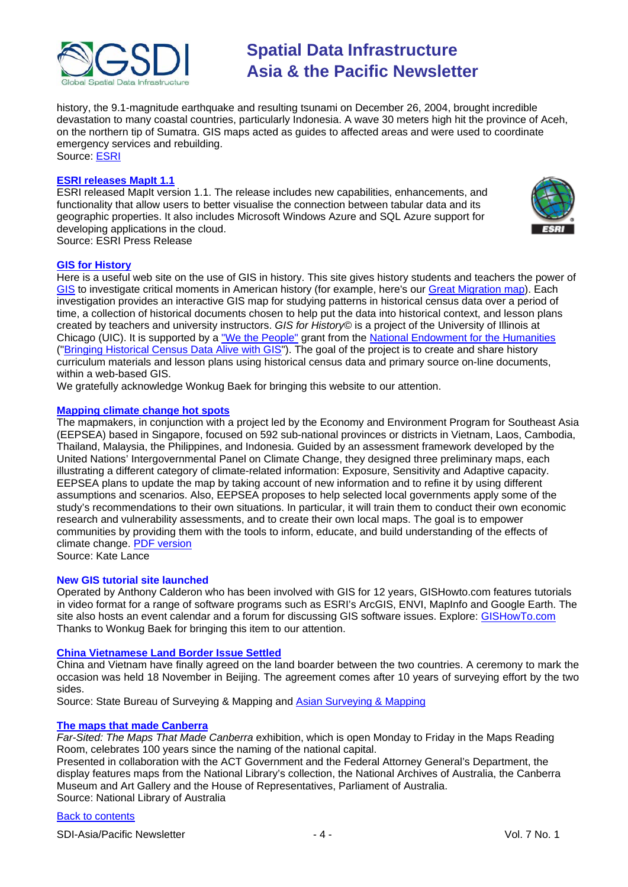

history, the 9.1-magnitude earthquake and resulting tsunami on December 26, 2004, brought incredible devastation to many coastal countries, particularly Indonesia. A wave 30 meters high hit the province of Aceh, on the northern tip of Sumatra. GIS maps acted as guides to affected areas and were used to coordinate emergency services and rebuilding. Source: [ESRI](http://www.vector1media.com/articles/features/10677-building-back-better-aceh-province-indonesia-continues-gis-work-five-years-after-tsunami)

#### **[ESRI releases MapIt 1.1](http://www.esri.com/news/releases/09_4qtr/mapit-release11.html)**

ESRI released MapIt version 1.1. The release includes new capabilities, enhancements, and functionality that allow users to better visualise the connection between tabular data and its geographic properties. It also includes Microsoft Windows Azure and SQL Azure support for developing applications in the cloud. Source: ESRI Press Release



#### **[GIS for History](http://www.gisforhistory.org/)**

Here is a useful web site on the use of GIS in history. This site gives history students and teachers the power of [GIS](http://www.gisforhistory.org/info/whatisgis.php) to investigate critical moments in American history (for example, here's our [Great Migration map\)](http://www.gisforhistory.org/projects/greatmigration/?defaultView=map). Each investigation provides an interactive GIS map for studying patterns in historical census data over a period of time, a collection of historical documents chosen to help put the data into historical context, and lesson plans created by teachers and university instructors. *GIS for History*© is a project of the University of Illinois at Chicago (UIC). It is supported by a ["We the People"](http://www.wethepeople.gov/) grant from the [National Endowment for the Humanities](http://www.neh.gov/) (["Bringing Historical Census Data Alive with GIS"](http://www.uic.edu/educ/bctpi/historyGIS/NEHRadinsky03narrative.pdf)). The goal of the project is to create and share history curriculum materials and lesson plans using historical census data and primary source on-line documents, within a web-based GIS.

We gratefully acknowledge Wonkug Baek for bringing this website to our attention.

#### **[Mapping climate change hot spots](http://www.idrc.ca/ccaa/ev-148556-201-1-DO_TOPIC.html)**

The mapmakers, in conjunction with a project led by the Economy and Environment Program for Southeast Asia (EEPSEA) based in Singapore, focused on 592 sub-national provinces or districts in Vietnam, Laos, Cambodia, Thailand, Malaysia, the Philippines, and Indonesia. Guided by an assessment framework developed by the United Nations' Intergovernmental Panel on Climate Change, they designed three preliminary maps, each illustrating a different category of climate-related information: Exposure, Sensitivity and Adaptive capacity. EEPSEA plans to update the map by taking account of new information and to refine it by using different assumptions and scenarios. Also, EEPSEA proposes to help selected local governments apply some of the study's recommendations to their own situations. In particular, it will train them to conduct their own economic research and vulnerability assessments, and to create their own local maps. The goal is to empower communities by providing them with the tools to inform, educate, and build understanding of the effects of climate change. [PDF version](http://www.idrc.ca/uploads/user-S/12586674031Climate_Change_map_final.pdf)

Source: Kate Lance

#### **New GIS tutorial site launched**

Operated by Anthony Calderon who has been involved with GIS for 12 years, GISHowto.com features tutorials in video format for a range of software programs such as ESRI's ArcGIS, ENVI, MapInfo and Google Earth. The site also hosts an event calendar and a forum for discussing GIS software issues. Explore: [GISHowTo.com](http://www.gishowto.com/) Thanks to Wonkug Baek for bringing this item to our attention.

#### **[China Vietnamese Land Border Issue Settled](http://en.sbsm.gov.cn/article/Importantactivity/200911/20091100058941.shtml)**

China and Vietnam have finally agreed on the land boarder between the two countries. A ceremony to mark the occasion was held 18 November in Beijing. The agreement comes after 10 years of surveying effort by the two sides.

Source: State Bureau of Surveying & Mapping and [Asian Surveying & Mapping](http://asmmag.com/news/china-vietnamese-land-border-issue-settled)

#### **[The maps that made Canberra](http://www.nla.gov.au/news/story.php?id=268)**

*Far-Sited: The Maps That Made Canberra* exhibition, which is open Monday to Friday in the Maps Reading Room, celebrates 100 years since the naming of the national capital.

Presented in collaboration with the ACT Government and the Federal Attorney General's Department, the display features maps from the National Library's collection, the National Archives of Australia, the Canberra Museum and Art Gallery and the House of Representatives, Parliament of Australia. Source: National Library of Australia

#### [Back to contents](#page-0-0)

SDI-Asia/Pacific Newsletter  $\overline{a}$  - 4 -  $\overline{a}$  -  $\overline{a}$  -  $\overline{a}$  Vol. 7 No. 1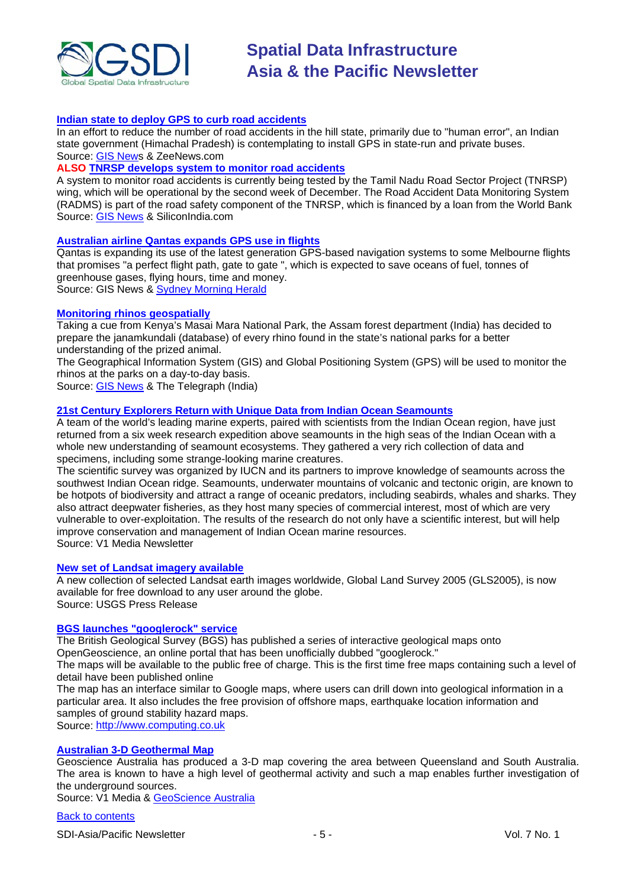

#### **[Indian state to deploy GPS to curb road accidents](http://www.zeenews.com/news587382.html)**

In an effort to reduce the number of road accidents in the hill state, primarily due to "human error", an Indian state government (Himachal Pradesh) is contemplating to install GPS in state-run and private buses. Source: [GIS News](http://www.gisdevelopment.net/news/viewn.asp?id=GIS:N_aswptcbvhy) & ZeeNews.com

#### **ALSO [TNRSP develops system to monitor road accidents](http://www.siliconindia.com/shownews/Soon_a_system_to_monitor_road_accidents_-nid-63271.html)**

A system to monitor road accidents is currently being tested by the Tamil Nadu Road Sector Project (TNRSP) wing, which will be operational by the second week of December. The Road Accident Data Monitoring System (RADMS) is part of the road safety component of the TNRSP, which is financed by a loan from the World Bank Source: [GIS News](http://www.gisdevelopment.net/news/viewn.asp?id=GIS:N_aulnikgcvm&Ezine=nov3009§ion=News) & SiliconIndia.com

#### **[Australian airline Qantas expands GPS use in flights](http://www.gisdevelopment.net/news/viewn.asp?id=GIS:N_wkrfztshdv&Ezine=dec0709§ion=News)**

Qantas is expanding its use of the latest generation GPS-based navigation systems to some Melbourne flights that promises "a perfect flight path, gate to gate ", which is expected to save oceans of fuel, tonnes of greenhouse gases, flying hours, time and money. Source: GIS News & [Sydney Morning Herald](http://www.smh.com.au/travel/travel-news/perfect-flight-path-qantas-expands-gps-use-20091203-k7yy.html)

#### **[Monitoring rhinos geospatially](http://www.telegraphindia.com/1091128/jsp/northeast/story_11793866.jsp)**

Taking a cue from Kenya's Masai Mara National Park, the Assam forest department (India) has decided to prepare the janamkundali (database) of every rhino found in the state's national parks for a better understanding of the prized animal.

The Geographical Information System (GIS) and Global Positioning System (GPS) will be used to monitor the rhinos at the parks on a day-to-day basis.

Source: [GIS News](http://www.gisdevelopment.net/news/viewn.asp?id=GIS:N_tapiszvjyf&Ezine=dec0709§ion=News) & The Telegraph (India)

#### **[21st Century Explorers Return with Unique Data from Indian Ocean Seamounts](http://www.vector1media.com/news/top-stories/53-corporate-news/10616-21st-century-explorers-return-with-unique-data-from-indian-ocean-seamounts)**

A team of the world's leading marine experts, paired with scientists from the Indian Ocean region, have just returned from a six week research expedition above seamounts in the high seas of the Indian Ocean with a whole new understanding of seamount ecosystems. They gathered a very rich collection of data and specimens, including some strange-looking marine creatures.

The scientific survey was organized by IUCN and its partners to improve knowledge of seamounts across the southwest Indian Ocean ridge. Seamounts, underwater mountains of volcanic and tectonic origin, are known to be hotpots of biodiversity and attract a range of oceanic predators, including seabirds, whales and sharks. They also attract deepwater fisheries, as they host many species of commercial interest, most of which are very vulnerable to over-exploitation. The results of the research do not only have a scientific interest, but will help improve conservation and management of Indian Ocean marine resources. Source: V1 Media Newsletter

#### **[New set of Landsat imagery available](http://www.usgs.gov/newsroom/article.asp?ID=2364)**

A new collection of selected Landsat earth images worldwide, Global Land Survey 2005 (GLS2005), is now available for free download to any user around the globe. Source: USGS Press Release

### **[BGS launches "googlerock" service](http://www.computing.co.uk/computing/news/2254548/geological-society-launches)**

The British Geological Survey (BGS) has published a series of interactive geological maps onto OpenGeoscience, an online portal that has been unofficially dubbed "googlerock."

The maps will be available to the public free of charge. This is the first time free maps containing such a level of detail have been published online

The map has an interface similar to Google maps, where users can drill down into geological information in a particular area. It also includes the free provision of offshore maps, earthquake location information and samples of ground stability hazard maps.

Source: [http://www.computing.co.uk](http://www.computing.co.uk/)

#### **[Australian 3-D Geothermal Map](http://www.vector1media.com/vectorone/?p=4433)**

Geoscience Australia has produced a 3-D map covering the area between Queensland and South Australia. The area is known to have a high level of geothermal activity and such a map enables further investigation of the underground sources.

Source: V1 Media & [GeoScience Australia](http://www.ga.gov.au/ausgeonews/ausgeonews200912/cooper.jsp)

#### [Back to contents](#page-0-0)

SDI-Asia/Pacific Newsletter  $\overline{5}$  - 5 -  $\overline{5}$  - Vol. 7 No. 1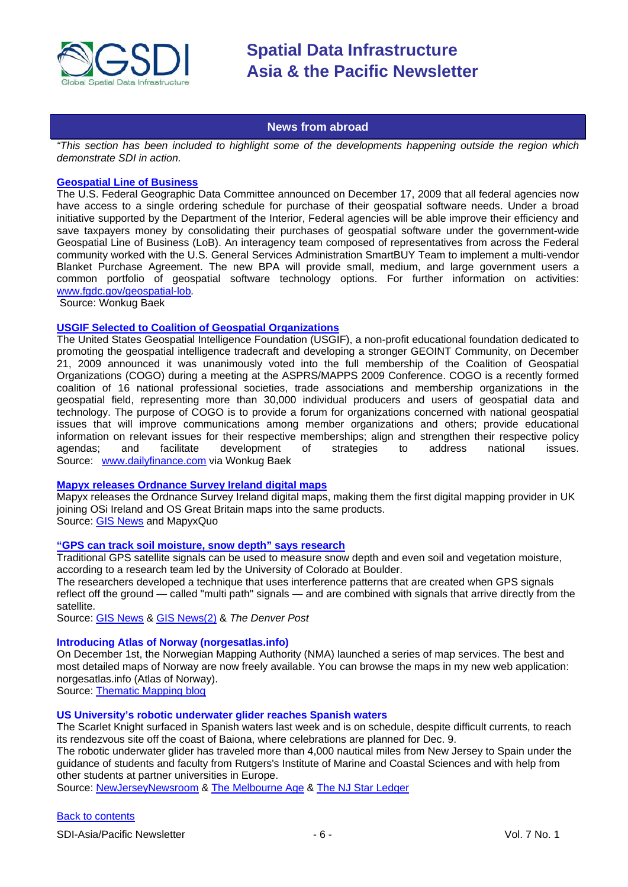

#### **News from abroad**

<span id="page-5-0"></span>*"This section has been included to highlight some of the developments happening outside the region which demonstrate SDI in action.*

#### **[Geospatial Line of Business](http://www.fgdc.gov/geospatial-lob)**

The U.S. Federal Geographic Data Committee announced on December 17, 2009 that all federal agencies now have access to a single ordering schedule for purchase of their geospatial software needs. Under a broad initiative supported by the Department of the Interior, Federal agencies will be able improve their efficiency and save taxpayers money by consolidating their purchases of geospatial software under the government-wide Geospatial Line of Business (LoB). An interagency team composed of representatives from across the Federal community worked with the U.S. General Services Administration SmartBUY Team to implement a multi-vendor Blanket Purchase Agreement. The new BPA will provide small, medium, and large government users a common portfolio of geospatial software technology options. For further information on activities: www.fgdc.gov/geospatial-lob*.*

Source: Wonkug Baek

#### **[USGIF Selected to Coalition of Geospatial Organizations](http://www.urisa.org/cogo)**

The United States Geospatial Intelligence Foundation (USGIF), a non-profit educational foundation dedicated to promoting the geospatial intelligence tradecraft and developing a stronger GEOINT Community, on December 21, 2009 announced it was unanimously voted into the full membership of the Coalition of Geospatial Organizations (COGO) during a meeting at the ASPRS/MAPPS 2009 Conference. COGO is a recently formed coalition of 16 national professional societies, trade associations and membership organizations in the geospatial field, representing more than 30,000 individual producers and users of geospatial data and technology. The purpose of COGO is to provide a forum for organizations concerned with national geospatial issues that will improve communications among member organizations and others; provide educational information on relevant issues for their respective memberships; align and strengthen their respective policy agendas; and facilitate development of strategies to address national issues. Source: www.dailyfinance.com via Wonkug Baek

#### **[Mapyx releases Ordnance Survey Ireland digital maps](http://in.sys-con.com/node/1196999)**

Mapyx releases the Ordnance Survey Ireland digital maps, making them the first digital mapping provider in UK joining OSi Ireland and OS Great Britain maps into the same products.

Source: [GIS News](http://www.gisdevelopment.net/news/viewn.asp?id=GIS:N_eagxtrpvcn&Ezine=nov3009§ion=News) and MapyxQuo

#### **["GPS can track soil moisture, snow depth" says research](http://www.denverpost.com/headlines/ci_13874821)**

Traditional GPS satellite signals can be used to measure snow depth and even soil and vegetation moisture, according to a research team led by the University of Colorado at Boulder.

The researchers developed a technique that uses interference patterns that are created when GPS signals reflect off the ground — called "multi path" signals — and are combined with signals that arrive directly from the satellite.

Source: [GIS News](http://www.gisdevelopment.net/news/viewn.asp?id=GIS:N_agoejtqwsd) & [GIS News\(2\)](http://www.gisdevelopment.net/news/viewn.asp?id=GIS:N_agoejtqwsd&Ezine=dec0709§ion=News) & *The Denver Post*

#### **Introducing Atlas of Norway (norgesatlas.info)**

On December 1st, the Norwegian Mapping Authority (NMA) launched a series of map services. The best and most detailed maps of Norway are now freely available. You can browse the maps in my new web application: norgesatlas.info (Atlas of Norway).

Source: [Thematic Mapping blog](http://blog.thematicmapping.org/2009/12/introducing-atlas-of-norway.html?utm_source=feedburner&utm_medium=email&utm_campaign=Feed%3A+thematicmapping+%28thematic+mapping+blog%29)

#### **US University's robotic underwater glider reaches Spanish waters**

The Scarlet Knight surfaced in Spanish waters last week and is on schedule, despite difficult currents, to reach its rendezvous site off the coast of Baiona, where celebrations are planned for Dec. 9.

The robotic underwater glider has traveled more than 4,000 nautical miles from New Jersey to Spain under the guidance of students and faculty from Rutgers's Institute of Marine and Coastal Sciences and with help from other students at partner universities in Europe.

Source: [NewJerseyNewsroom](http://www.newjerseynewsroom.com/science-updates/rutgers-robotic-underwater-glider-reaches-spanish-waters) & [The Melbourne Age](http://www.theage.com.au/world/a-glider-tests-the-waters-20091204-kaw7.html) & [The NJ Star Ledger](http://www.nj.com/news/index.ssf/2009/12/rutgers_university_ocean_glide_1.html)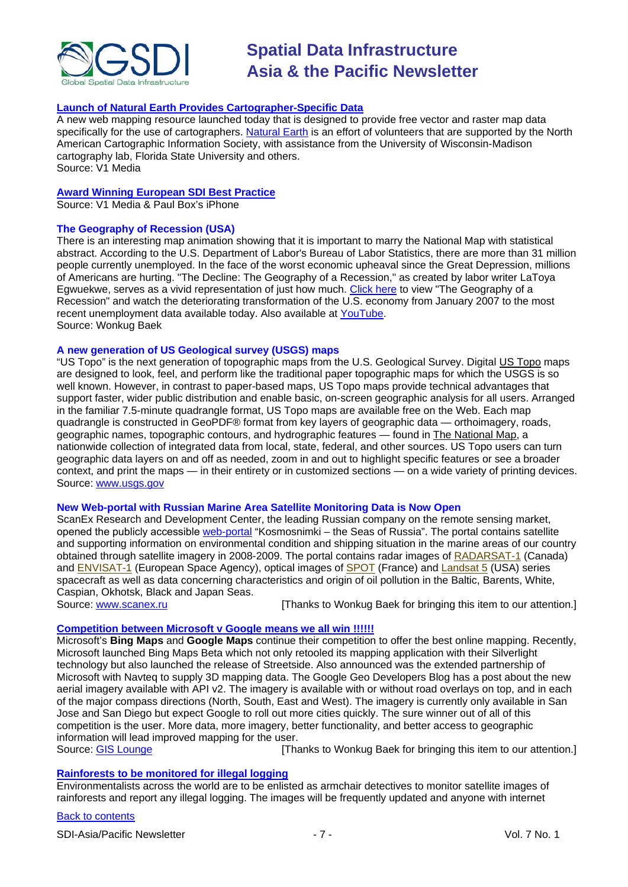

#### **Launch of [Natural Earth Provides Cartographer-Specific Data](http://vector1media.com/spatialsustain/launch-of-natural-earth-provides-cartographer-specific-data.html)**

A new web mapping resource launched today that is designed to provide free vector and raster map data specifically for the use of cartographers. [Natural Earth](http://www.naturalearthdata.com/) is an effort of volunteers that are supported by the North American Cartographic Information Society, with assistance from the University of Wisconsin-Madison cartography lab, Florida State University and others. Source: V1 Media

#### **[Award Winning European SDI Best Practice](http://www.vector1media.com/news/top-stories/55-policy-watch/10373-award-winning-european-sdi-best-practice)**

Source: V1 Media & Paul Box's iPhone

#### **The Geography of Recession (USA)**

There is an interesting map animation showing that it is important to marry the National Map with statistical abstract. According to the U.S. Department of Labor's Bureau of Labor Statistics, there are more than 31 million people currently unemployed. In the face of the worst economic upheaval since the Great Depression, millions of Americans are hurting. "The Decline: The Geography of a Recession," as created by labor writer LaToya Egwuekwe, serves as a vivid representation of just how much. [Click here](http://cohort11.americanobserver.net/latoyaegwuekwe/multimediafinal.html) to view "The Geography of a Recession" and watch the deteriorating transformation of the U.S. economy from January 2007 to the most recent unemployment data available today. Also available at [YouTube.](http://www.youtube.com/watch?v=RrP9qJmjIsA) Source: Wonkug Baek

#### **A new generation of US Geological survey (USGS) maps**

"US Topo" is the next generation of topographic maps from the U.S. Geological Survey. Digital [US Topo](http://nationalmap.usgs.gov/ustopo) maps are designed to look, feel, and perform like the traditional paper topographic maps for which the USGS is so well known. However, in contrast to paper-based maps, US Topo maps provide technical advantages that support faster, wider public distribution and enable basic, on-screen geographic analysis for all users. Arranged in the familiar 7.5-minute quadrangle format, US Topo maps are available free on the Web. Each map quadrangle is constructed in GeoPDF® format from key layers of geographic data — orthoimagery, roads, geographic names, topographic contours, and hydrographic features — found i[n The National Map,](http://nationalmap.gov/) a nationwide collection of integrated data from local, state, federal, and other sources. US Topo users can turn geographic data layers on and off as needed, zoom in and out to highlight specific features or see a broader context, and print the maps — in their entirety or in customized sections — on a wide variety of printing devices. Source: [www.usgs.gov](http://www.scanex.ru/)

#### **New Web-portal with Russian Marine Area Satellite Monitoring Data is Now Open**

ScanEx Research and Development Center, the leading Russian company on the remote sensing market, opened the publicly aссessible [web-portal](http://ocean.kosmosnimki.ru/) "Kosmosnimki – the Seas of Russia". The portal contains satellite and supporting information on environmental condition and shipping situation in the marine areas of our country obtained through satellite imagery in 2008-2009. The portal contains radar images of [RADARSAT-1](http://www.scanex.ru/en/data/default.asp?submenu=radarsat&id=index) (Canada) and [ENVISAT-1](http://www.scanex.ru/en/data/default.asp?submenu=envisat&id=index) (European Space Agency), optical images of [SPOT](http://www.scanex.ru/en/data/default.asp?submenu=spot&id=index) (France) and [Landsat 5](http://www.scanex.ru/en/data/default.asp?submenu=landsat&id=index) (USA) series spacecraft as well as data concerning characteristics and origin of oil pollution in the Baltic, Barents, White, Caspian, Okhotsk, Black and Japan Seas.<br>Source: www.scanex.ru

[Thanks to Wonkug Baek for bringing this item to our attention.]

### **[Competition between Microsoft v Google means we all win !!!!!!](http://gislounge.com/microsofts-bing-vs-google-maps-means-users-win/)**

Microsoft's **Bing Maps** and **Google Maps** continue their competition to offer the best online mapping. Recently, Microsoft launched Bing Maps Beta which not only retooled its mapping application with their Silverlight technology but also launched the release of Streetside. Also announced was the extended partnership of Microsoft with Navteq to supply 3D mapping data. The Google Geo Developers Blog has a post about the new aerial imagery available with API v2. The imagery is available with or without road overlays on top, and in each of the major compass directions (North, South, East and West). The imagery is currently only available in San Jose and San Diego but expect Google to roll out more cities quickly. The sure winner out of all of this competition is the user. More data, more imagery, better functionality, and better access to geographic information will lead improved mapping for the user.<br>Source: GIS Lounge [Tha

[Thanks to Wonkug Baek for bringing this item to our attention.]

#### **[Rainforests to be monitored for illegal logging](http://www.timesonline.co.uk/tol/news/environment/article6924113.ece)**

Environmentalists across the world are to be enlisted as armchair detectives to monitor satellite images of rainforests and report any illegal logging. The images will be frequently updated and anyone with internet

#### [Back to contents](#page-0-0)

SDI-Asia/Pacific Newsletter  $\overline{7}$  - 7 -  $\overline{7}$  -  $\overline{9}$  Vol. 7 No. 1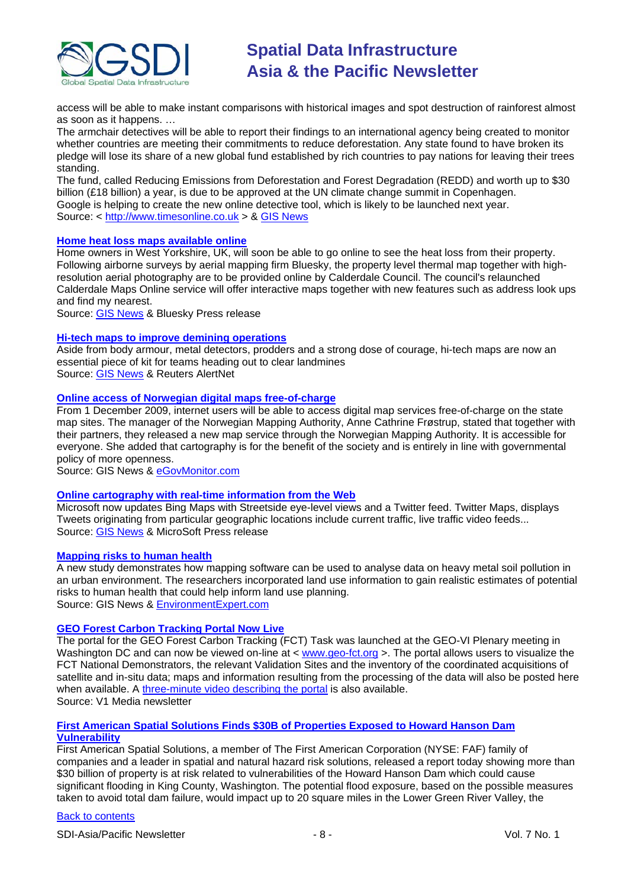

access will be able to make instant comparisons with historical images and spot destruction of rainforest almost as soon as it happens. …

The armchair detectives will be able to report their findings to an international agency being created to monitor whether countries are meeting their commitments to reduce deforestation. Any state found to have broken its pledge will lose its share of a new global fund established by rich countries to pay nations for leaving their trees standing.

The fund, called Reducing Emissions from Deforestation and Forest Degradation (REDD) and worth up to \$30 billion (£18 billion) a year, is due to be approved at the UN climate change summit in Copenhagen. Google is helping to create the new online detective tool, which is likely to be launched next year. Source: < [http://www.timesonline.co.uk](http://www.timesonline.co.uk/) > & [GIS News](http://www.gisdevelopment.net/news/viewn.asp?id=GIS:N_hvuoxtwqbk&Ezine=nov3009§ion=News)

#### **[Home heat loss maps available online](http://www.bluesky-world.com/press_releases/?id=148)**

Home owners in West Yorkshire, UK, will soon be able to go online to see the heat loss from their property. Following airborne surveys by aerial mapping firm Bluesky, the property level thermal map together with highresolution aerial photography are to be provided online by Calderdale Council. The council's relaunched Calderdale Maps Online service will offer interactive maps together with new features such as address look ups and find my nearest.

Source: [GIS News](http://www.gisdevelopment.net/news/viewn.asp?id=GIS:N_wpxzhuisva&Ezine=nov3009§ion=News) & Bluesky Press release

#### **[Hi-tech maps to improve demining operations](http://www.alertnet.org/db/an_art/59567/2009/11/1-150609-1.htm)**

Aside from body armour, metal detectors, prodders and a strong dose of courage, hi-tech maps are now an essential piece of kit for teams heading out to clear landmines Source: [GIS News](http://www.gisdevelopment.net/news/viewn.asp?id=GIS:N_artxbpfhuj&Ezine=dec0709§ion=News) & Reuters AlertNet

### **[Online access of Norwegian digital maps free-of-charge](http://www.gisdevelopment.net/news/viewn.asp?id=GIS:N_jxgziqkmwl)**

From 1 December 2009, internet users will be able to access digital map services free-of-charge on the state map sites. The manager of the Norwegian Mapping Authority, Anne Cathrine Frøstrup, stated that together with their partners, they released a new map service through the Norwegian Mapping Authority. It is accessible for everyone. She added that cartography is for the benefit of the society and is entirely in line with governmental policy of more openness.

Source: GIS News & [eGovMonitor.com](http://www.egovmonitor.com/node/31919)

#### **[Online cartography with real-time information from the Web](http://www.microsoft.com/presspass/features/2009/dec09/12-02bingmapupdates.mspx)**

Microsoft now updates Bing Maps with Streetside eye-level views and a Twitter feed. Twitter Maps, displays Tweets originating from particular geographic locations include current traffic, live traffic video feeds... Source: [GIS News](http://www.gisdevelopment.net/news/viewn.asp?id=GIS:N_gurtenydaw&Ezine=dec0709§ion=News) & MicroSoft Press release

#### **[Mapping risks to human health](http://www.gisdevelopment.net/news/viewn.asp?id=GIS:N_zunhqflyaj&Ezine=dec0709§ion=News)**

A new study demonstrates how mapping software can be used to analyse data on heavy metal soil pollution in an urban environment. The researchers incorporated land use information to gain realistic estimates of potential risks to human health that could help inform land use planning. Source: GIS News & [EnvironmentExpert.com](http://www.environmental-expert.com/resultEachPressRelease.aspx?cid=37051&codi=76028&lr=1)

#### **[GEO Forest Carbon Tracking Portal Now Live](http://www.vector1media.com/news/top-stories/53-corporate-news/10596-geo-forest-carbon-tracking-portal-now-live)**

The portal for the GEO Forest Carbon Tracking (FCT) Task was launched at the GEO-VI Plenary meeting in Washington DC and can now be viewed on-line at < [www.geo-fct.org](http://www.geo-fct.org/) >. The portal allows users to visualize the FCT National Demonstrators, the relevant Validation Sites and the inventory of the coordinated acquisitions of satellite and in-situ data; maps and information resulting from the processing of the data will also be posted here when available. A [three-minute video describing the portal](http://www.earthobservations.org/documents/articles_ext/FTC%20portal_video.wmv) is also available. Source: V1 Media newsletter

#### **[First American Spatial Solutions Finds \\$30B of Properties Exposed to Howard Hanson Dam](http://www.vector1media.com/news/top-stories/53-corporate-news/10597-first-american-spatial-solutions-finds-30b-of-properties-exposed-to-howard-hanson-dam-vulnerability)  [Vulnerability](http://www.vector1media.com/news/top-stories/53-corporate-news/10597-first-american-spatial-solutions-finds-30b-of-properties-exposed-to-howard-hanson-dam-vulnerability)**

First American Spatial Solutions, a member of The First American Corporation (NYSE: FAF) family of companies and a leader in spatial and natural hazard risk solutions, released a report today showing more than \$30 billion of property is at risk related to vulnerabilities of the Howard Hanson Dam which could cause significant flooding in King County, Washington. The potential flood exposure, based on the possible measures taken to avoid total dam failure, would impact up to 20 square miles in the Lower Green River Valley, the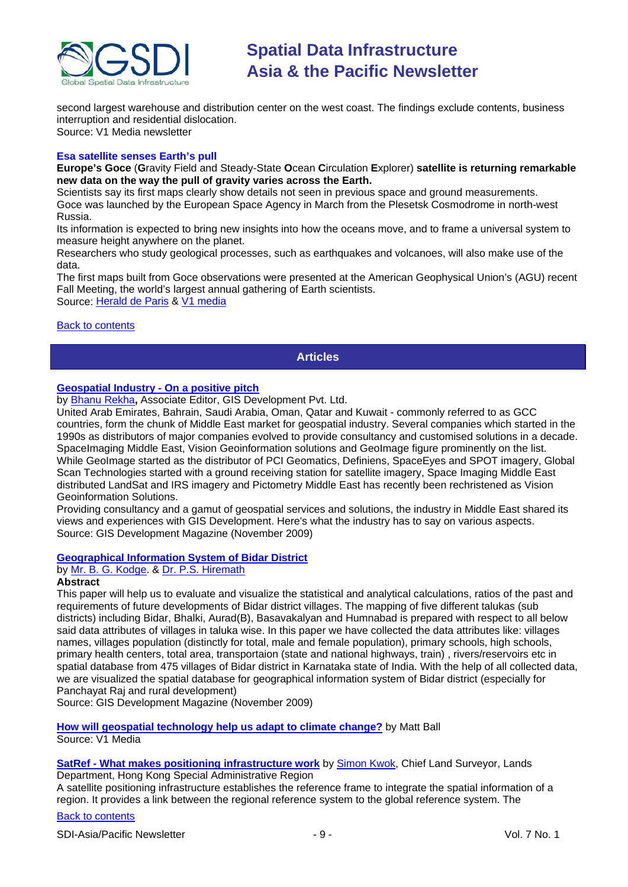

second largest warehouse and distribution center on the west coast. The findings exclude contents, business interruption and residential dislocation.

Source: V1 Media newsletter

#### **Esa satellite senses Earth's pull**

**Europe's Goce** (**G**ravity Field and Steady-State **O**cean **C**irculation **E**xplorer) **satellite is returning remarkable new data on the way the pull of gravity varies across the Earth.**

Scientists say its first maps clearly show details not seen in previous space and ground measurements. Goce was launched by the European Space Agency in March from the Plesetsk Cosmodrome in north-west Russia.

Its information is expected to bring new insights into how the oceans move, and to frame a universal system to measure height anywhere on the planet.

Researchers who study geological processes, such as earthquakes and volcanoes, will also make use of the data.

The first maps built from Goce observations were presented at the American Geophysical Union's (AGU) recent Fall Meeting, the world's largest annual gathering of Earth scientists.

Source: [Herald de Paris](http://www.heralddeparis.com/esa-satellite-senses-earths-pull/68096) & [V1 media](http://vector1media.com/news/headlines/10702-esa-satellite-senses-earths-pull)

#### <span id="page-8-0"></span>[Back to contents](#page-0-0)

#### **Articles**

#### **[Geospatial Industry -](http://gisdevelopment.net/magazine/global/2009/November/34.htm) On a positive pitch**

by [Bhanu Rekha](mailto:bhanu.rekha@gisdevelopment.net)**,** Associate Editor, GIS Development Pvt. Ltd.

United Arab Emirates, Bahrain, Saudi Arabia, Oman, Qatar and Kuwait - commonly referred to as GCC countries, form the chunk of Middle East market for geospatial industry. Several companies which started in the 1990s as distributors of major companies evolved to provide consultancy and customised solutions in a decade. SpaceImaging Middle East, Vision Geoinformation solutions and GeoImage figure prominently on the list. While GeoImage started as the distributor of PCI Geomatics, Definiens, SpaceEyes and SPOT imagery, Global Scan Technologies started with a ground receiving station for satellite imagery, Space Imaging Middle East distributed LandSat and IRS imagery and Pictometry Middle East has recently been rechristened as Vision Geoinformation Solutions.

Providing consultancy and a gamut of geospatial services and solutions, the industry in Middle East shared its views and experiences with GIS Development. Here's what the industry has to say on various aspects. Source: GIS Development Magazine (November 2009)

#### **[Geographical Information System of Bidar District](http://www.gisdevelopment.net/application/lis/rural/BGKodge.htm)**

### by [Mr. B. G. Kodge.](mailto:kodgebg@hotmail.com) & [Dr. P.S. Hiremath](mailto:hiremathps53@yahoo.com)

#### **Abstract**

This paper will help us to evaluate and visualize the statistical and analytical calculations, ratios of the past and requirements of future developments of Bidar district villages. The mapping of five different talukas (sub districts) including Bidar, Bhalki, Aurad(B), Basavakalyan and Humnabad is prepared with respect to all below said data attributes of villages in taluka wise. In this paper we have collected the data attributes like: villages names, villages population (distinctly for total, male and female population), primary schools, high schools, primary health centers, total area, transportaion (state and national highways, train) , rivers/reservoirs etc in spatial database from 475 villages of Bidar district in Karnataka state of India. With the help of all collected data, we are visualized the spatial database for geographical information system of Bidar district (especially for Panchayat Raj and rural development)

Source: GIS Development Magazine (November 2009)

**[How will geospatial technology help us adapt to climate change?](http://www.vector1media.com/dialogue/perspectives/10241-how-will-geospatial-technology-help-us-adapt-to-climate-change)** by Matt Ball Source: V1 Media

#### **SatRef - [What makes positioning infrastructure work](http://gisdevelopment.net/magazine/global/2009/November/29.htm)** by [Simon Kwok,](mailto:clsu@landsd.gov.hk) Chief Land Surveyor, Lands Department, Hong Kong Special Administrative Region

A satellite positioning infrastructure establishes the reference frame to integrate the spatial information of a region. It provides a link between the regional reference system to the global reference system. The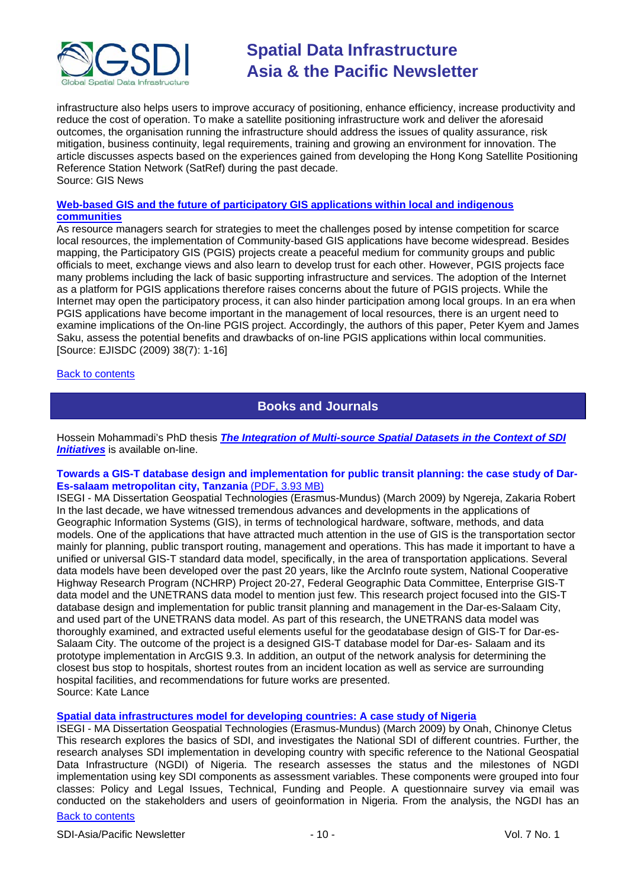

infrastructure also helps users to improve accuracy of positioning, enhance efficiency, increase productivity and reduce the cost of operation. To make a satellite positioning infrastructure work and deliver the aforesaid outcomes, the organisation running the infrastructure should address the issues of quality assurance, risk mitigation, business continuity, legal requirements, training and growing an environment for innovation. The article discusses aspects based on the experiences gained from developing the Hong Kong Satellite Positioning Reference Station Network (SatRef) during the past decade. Source: GIS News

#### **[Web-based GIS and the future of participatory GIS applications within local and indigenous](http://www.ejisdc.org/ojs2/index.php/ejisdc/article/viewFile/584/292)  [communities](http://www.ejisdc.org/ojs2/index.php/ejisdc/article/viewFile/584/292)**

As resource managers search for strategies to meet the challenges posed by intense competition for scarce local resources, the implementation of Community-based GIS applications have become widespread. Besides mapping, the Participatory GIS (PGIS) projects create a peaceful medium for community groups and public officials to meet, exchange views and also learn to develop trust for each other. However, PGIS projects face many problems including the lack of basic supporting infrastructure and services. The adoption of the Internet as a platform for PGIS applications therefore raises concerns about the future of PGIS projects. While the Internet may open the participatory process, it can also hinder participation among local groups. In an era when PGIS applications have become important in the management of local resources, there is an urgent need to examine implications of the On-line PGIS project. Accordingly, the authors of this paper, Peter Kyem and James Saku, assess the potential benefits and drawbacks of on-line PGIS applications within local communities. [Source: EJISDC (2009) 38(7): 1-16]

#### <span id="page-9-0"></span>[Back to contents](#page-0-0)

# **Books and Journals**

Hossein Mohammadi's PhD thesis *[The Integration of Multi-source Spatial Datasets in the Context of SDI](http://www.csdila.unimelb.edu.au/publication/thesis/hossein-PhD.pdf)  [Initiatives](http://www.csdila.unimelb.edu.au/publication/thesis/hossein-PhD.pdf)* is available on-line.

#### **Towards a GIS-T database design and implementation for public transit planning: the case study of Dar-Es-salaam metropolitan city, Tanzania** [\(PDF, 3.93 MB\)](http://dspace.fct.unl.pt/bitstream/10362/2321/1/TGEO0006.pdf)

ISEGI - MA Dissertation Geospatial Technologies (Erasmus-Mundus) (March 2009) by Ngereja, Zakaria Robert In the last decade, we have witnessed tremendous advances and developments in the applications of Geographic Information Systems (GIS), in terms of technological hardware, software, methods, and data models. One of the applications that have attracted much attention in the use of GIS is the transportation sector mainly for planning, public transport routing, management and operations. This has made it important to have a unified or universal GIS-T standard data model, specifically, in the area of transportation applications. Several data models have been developed over the past 20 years, like the ArcInfo route system, National Cooperative Highway Research Program (NCHRP) Project 20-27, Federal Geographic Data Committee, Enterprise GIS-T data model and the UNETRANS data model to mention just few. This research project focused into the GIS-T database design and implementation for public transit planning and management in the Dar-es-Salaam City, and used part of the UNETRANS data model. As part of this research, the UNETRANS data model was thoroughly examined, and extracted useful elements useful for the geodatabase design of GIS-T for Dar-es-Salaam City. The outcome of the project is a designed GIS-T database model for Dar-es- Salaam and its prototype implementation in ArcGIS 9.3. In addition, an output of the network analysis for determining the closest bus stop to hospitals, shortest routes from an incident location as well as service are surrounding hospital facilities, and recommendations for future works are presented. Source: Kate Lance

#### **[Spatial data infrastructures model for developing countries: A case study of Nigeria](http://dspace.fct.unl.pt/bitstream/10362/2319/1/TGEO0004.pdf)**

ISEGI - MA Dissertation Geospatial Technologies (Erasmus-Mundus) (March 2009) by Onah, Chinonye Cletus This research explores the basics of SDI, and investigates the National SDI of different countries. Further, the research analyses SDI implementation in developing country with specific reference to the National Geospatial Data Infrastructure (NGDI) of Nigeria. The research assesses the status and the milestones of NGDI implementation using key SDI components as assessment variables. These components were grouped into four classes: Policy and Legal Issues, Technical, Funding and People. A questionnaire survey via email was conducted on the stakeholders and users of geoinformation in Nigeria. From the analysis, the NGDI has an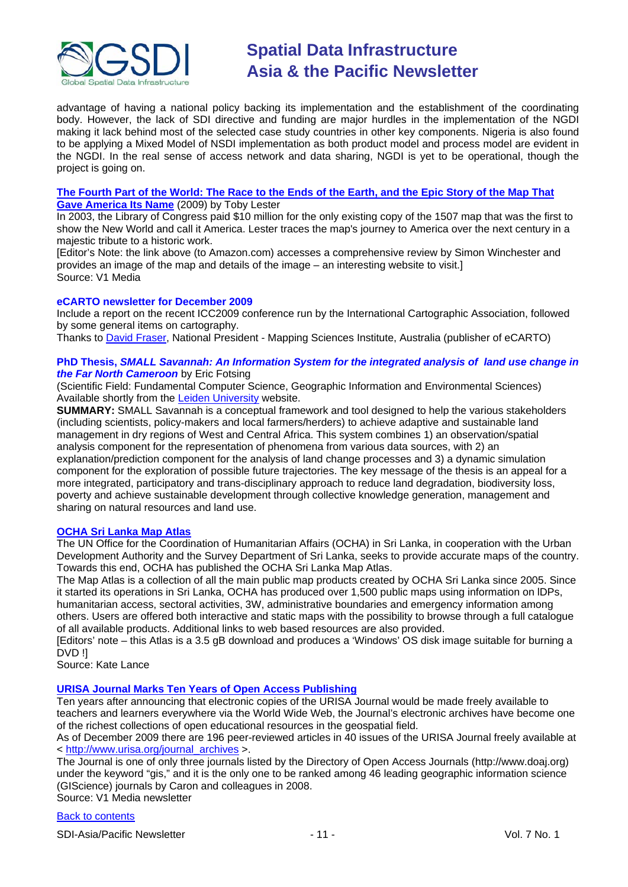

advantage of having a national policy backing its implementation and the establishment of the coordinating body. However, the lack of SDI directive and funding are major hurdles in the implementation of the NGDI making it lack behind most of the selected case study countries in other key components. Nigeria is also found to be applying a Mixed Model of NSDI implementation as both product model and process model are evident in the NGDI. In the real sense of access network and data sharing, NGDI is yet to be operational, though the project is going on.

#### **[The Fourth Part of the World: The Race to the Ends of the Earth, and the](http://www.amazon.com/gp/product/1416535314?ie=UTF8&tag=vectmedi-20&linkCode=xm2&creativeASIN=1416535314) Epic Story of the Map That [Gave America Its Name](http://www.amazon.com/gp/product/1416535314?ie=UTF8&tag=vectmedi-20&linkCode=xm2&creativeASIN=1416535314)** (2009) by Toby Lester

In 2003, the Library of Congress paid \$10 million for the only existing copy of the 1507 map that was the first to show the New World and call it America. Lester traces the map's journey to America over the next century in a majestic tribute to a historic work.

[Editor's Note: the link above (to Amazon.com) accesses a comprehensive review by Simon Winchester and provides an image of the map and details of the image – an interesting website to visit.] Source: V1 Media

#### **eCARTO newsletter for December 2009**

Include a report on the recent ICC2009 conference run by the International Cartographic Association, followed by some general items on cartography.

Thanks to [David Fraser,](mailto:David.Fraser@rmit.edu.au) National President - Mapping Sciences Institute, Australia (publisher of eCARTO)

#### **PhD Thesis,** *SMALL Savannah: An Information System for the integrated analysis of land use change in the Far North Cameroon* by Eric Fotsing

(Scientific Field: Fundamental Computer Science, Geographic Information and Environmental Sciences) Available shortly from the [Leiden University](https://openaccess.leidenuniv.nl/dspace/handle/1887/9747) website.

**SUMMARY:** SMALL Savannah is a conceptual framework and tool designed to help the various stakeholders (including scientists, policy-makers and local farmers/herders) to achieve adaptive and sustainable land management in dry regions of West and Central Africa. This system combines 1) an observation/spatial analysis component for the representation of phenomena from various data sources, with 2) an explanation/prediction component for the analysis of land change processes and 3) a dynamic simulation component for the exploration of possible future trajectories. The key message of the thesis is an appeal for a more integrated, participatory and trans-disciplinary approach to reduce land degradation, biodiversity loss, poverty and achieve sustainable development through collective knowledge generation, management and sharing on natural resources and land use.

#### **[OCHA Sri Lanka Map Atlas](http://www.humanitarianinfo.org/sriLanka_hpsl/Map_atlas.aspx)**

The UN Office for the Coordination of Humanitarian Affairs (OCHA) in Sri Lanka, in cooperation with the Urban Development Authority and the Survey Department of Sri Lanka, seeks to provide accurate maps of the country. Towards this end, OCHA has published the OCHA Sri Lanka Map Atlas.

The Map Atlas is a collection of all the main public map products created by OCHA Sri Lanka since 2005. Since it started its operations in Sri Lanka, OCHA has produced over 1,500 public maps using information on lDPs, humanitarian access, sectoral activities, 3W, administrative boundaries and emergency information among others. Users are offered both interactive and static maps with the possibility to browse through a full catalogue of all available products. Additional links to web based resources are also provided.

[Editors' note – this Atlas is a 3.5 gB download and produces a 'Windows' OS disk image suitable for burning a DVD !]

Source: Kate Lance

### **[URISA Journal Marks Ten Years of Open Access Publishing](http://www.vector1media.com/news/top-stories/53-corporate-news/10587-urisa-journal-marks-ten-years-of-open-access-publishing-)**

Ten years after announcing that electronic copies of the URISA Journal would be made freely available to teachers and learners everywhere via the World Wide Web, the Journal's electronic archives have become one of the richest collections of open educational resources in the geospatial field.

As of December 2009 there are 196 peer-reviewed articles in 40 issues of the URISA Journal freely available at < [http://www.urisa.org/journal\\_archives](http://www.urisa.org/journal_archives) >.

The Journal is one of only three journals listed by the Directory of Open Access Journals (http://www.doaj.org) under the keyword "gis," and it is the only one to be ranked among 46 leading geographic information science (GIScience) journals by Caron and colleagues in 2008.

Source: V1 Media newsletter

#### [Back to contents](#page-0-0)

SDI-Asia/Pacific Newsletter  $\overline{ }$  11 -  $\overline{ }$  11 - Vol. 7 No. 1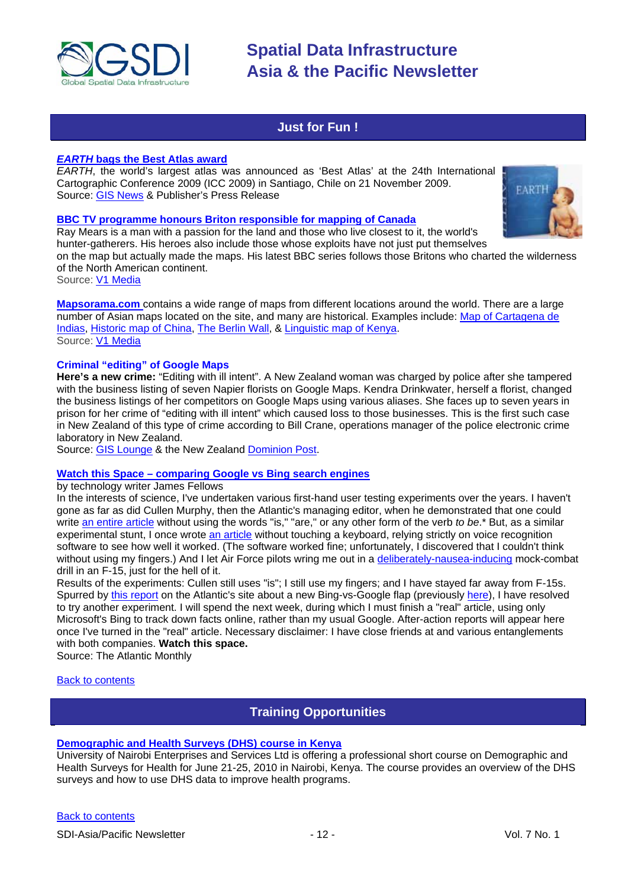

## **Just for Fun !**

#### <span id="page-11-0"></span>*EARTH* **[bags the Best Atlas award](http://www.globalmapping.uk.com/news_thms/EarthvotedBestWorldAtlas.htm)**

*EARTH*, the world's largest atlas was announced as 'Best Atlas' at the 24th International Cartographic Conference 2009 (ICC 2009) in Santiago, Chile on 21 November 2009. Source: [GIS News](http://www.gisdevelopment.net/news/viewn.asp?id=GIS:N_fltdbxgvzu) & Publisher's Press Release

#### **[BBC TV programme honours Briton responsible for mapping of Canada](http://news.bbc.co.uk/2/hi/uk_news/wales/8354658.stm)**

Ray Mears is a man with a passion for the land and those who live closest to it, the world's hunter-gatherers. His heroes also include those whose exploits have not just put themselves

on the map but actually made the maps. His latest BBC series follows those Britons who charted the wilderness of the North American continent.

Source: [V1 Media](http://vector1media.com/spatialsustain/following-in-the-footsteps-of-canadas-cartographer.html)

**[Mapsorama.com](http://www.mapsorama.com/)** contains a wide range of maps from different locations around the world. There are a large number of Asian maps located on the site, and many are historical. Examples include: [Map of Cartagena de](http://www.mapsorama.com/map-of-cartagena-de-indias/)  [Indias,](http://www.mapsorama.com/map-of-cartagena-de-indias/) [Historic map of China,](http://www.mapsorama.com/historic-map-of-china/) [The Berlin Wall,](http://www.mapsorama.com/satellite-map-of-berlin/) & [Linguistic map of Kenya.](http://www.mapsorama.com/linguistic-map-of-kenya/) Source: [V1 Media](http://www.vector1media.com/vectorone/?p=4239)

#### **Criminal "editing" of Google Maps**

**Here's a new crime:** "Editing with ill intent". A New Zealand woman was charged by police after she tampered with the business listing of seven Napier florists on Google Maps. Kendra Drinkwater, herself a florist, changed the business listings of her competitors on Google Maps using various aliases. She faces up to seven years in prison for her crime of "editing with ill intent" which caused loss to those businesses. This is the first such case in New Zealand of this type of crime according to Bill Crane, operations manager of the police electronic crime laboratory in New Zealand.

Source: [GIS Lounge](http://gislounge.com/editing-with-ill-intent-crime-for-tampering-with-google-maps/) & the New Zealand [Dominion Post.](http://www.stuff.co.nz/dominion-post/national/3149852/Florist-accused-of-hacking-rivals-details-on-Google)

#### **Watch this Space – [comparing Google vs Bing search engines](http://jamesfallows.theatlantic.com/archives/2009/12/weeklong_experiment_bing_vs_go.php)**

by technology writer James Fellows

In the interests of science, I've undertaken various first-hand user testing experiments over the years. I haven't gone as far as did Cullen Murphy, then the Atlantic's managing editor, when he demonstrated that one could writ[e an entire article](http://www.theatlantic.com/issues/92feb/murphy.htm) without using the words "is," "are," or any other form of the verb *to be*.\* But, as a similar experimental stunt, I once wrote [an article](http://www.theatlantic.com/issues/2000/12/fallows.htm) without touching a keyboard, relying strictly on voice recognition software to see how well it worked. (The software worked fine; unfortunately, I discovered that I couldn't think without using my fingers.) And I let Air Force pilots wring me out in a [deliberately-nausea-inducing](http://www.theatlantic.com/issues/96feb/745/fallfly.htm) mock-combat drill in an F-15, just for the hell of it.

Results of the experiments: Cullen still uses "is"; I still use my fingers; and I have stayed far away from F-15s. Spurred by [this report](http://www.theatlanticwire.com/opinions/view/opinion/On-Privacy-Mozilla-Developer-Backs-Bing-Over-Google-1894) on the Atlantic's site about a new Bing-vs-Google flap (previously [here\)](http://business.theatlantic.com/2009/05/will_microsoft_bing_be_a_google-killer_search_engine.php), I have resolved to try another experiment. I will spend the next week, during which I must finish a "real" article, using only Microsoft's Bing to track down facts online, rather than my usual Google. After-action reports will appear here once I've turned in the "real" article. Necessary disclaimer: I have close friends at and various entanglements with both companies. **Watch this space.**

Source: The Atlantic Monthly

#### <span id="page-11-1"></span>[Back to contents](#page-0-0)

# **Training Opportunities**

### **[Demographic and Health Surveys \(DHS\) course in Kenya](http://www.measuredhs.com/wn1/reports/Demographic%20health%20surveys_final%20flyer.pdf)**

University of Nairobi Enterprises and Services Ltd is offering a professional short course on Demographic and Health Surveys for Health for June 21-25, 2010 in Nairobi, Kenya. The course provides an overview of the DHS surveys and how to use DHS data to improve health programs.

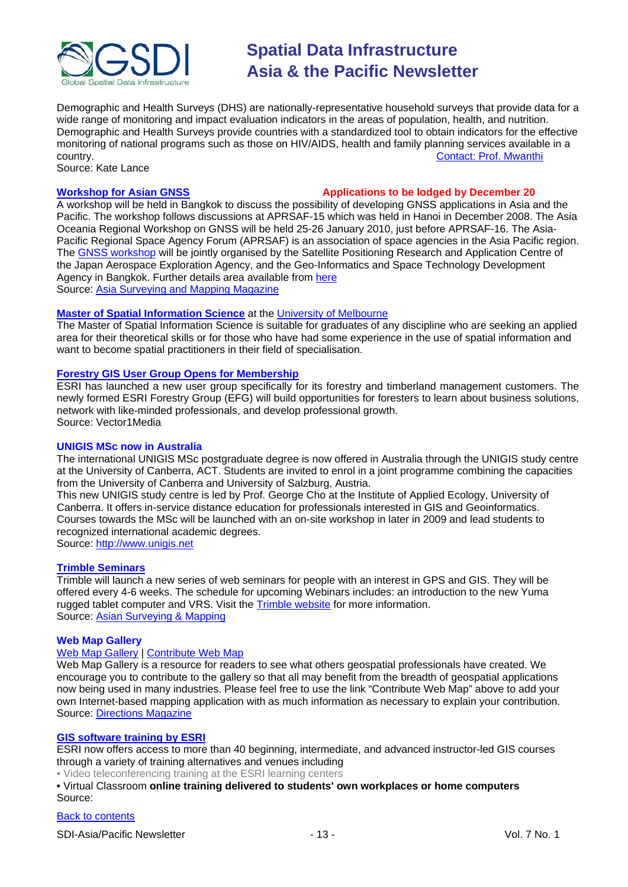

Demographic and Health Surveys (DHS) are nationally-representative household surveys that provide data for a wide range of monitoring and impact evaluation indicators in the areas of population, health, and nutrition. Demographic and Health Surveys provide countries with a standardized tool to obtain indicators for the effective monitoring of national programs such as those on HIV/AIDS, health and family planning services available in a<br>
country.<br>
Contact: Prof. Mwanthi [Contact: Prof. Mwanthi](mailto:mmwanthi@uonbi.ac.ke)

Source: Kate Lance

#### **[Workshop for Asian GNSS](http://www.asmmag.com/news/workshop-for-asian-gnss) Applications to be lodged by December 20**

A workshop will be held in Bangkok to discuss the possibility of developing GNSS applications in Asia and the Pacific. The workshop follows discussions at APRSAF-15 which was held in Hanoi in December 2008. The Asia Oceania Regional Workshop on GNSS will be held 25-26 January 2010, just before APRSAF-16. The Asia-Pacific Regional Space Agency Forum (APRSAF) is an association of space agencies in the Asia Pacific region. The [GNSS workshop](http://www.multignss.asia/pdf/Invitation_Letter_Multi-GNSS_Workshop(WEB).pdf) will be jointly organised by the Satellite Positioning Research and Application Centre of the Japan Aerospace Exploration Agency, and the Geo-Informatics and Space Technology Development Agency in Bangkok. Further details area available from [here](http://www.multignss.asia/pdf/Invitation_Letter_Multi-GNSS_Workshop(WEB).pdf) Source: [Asia Surveying and Mapping Magazine](http://au.mg2.mail.yahoo.com/dc/launch?.gx=1&.rand=18q4rthesepum)

#### **[Master of Spatial Information Science](http://www.eng.unimelb.edu.au/Postgrad/MEng/grad_msis.html)** at the [University of Melbourne](http://www.unimelb.edu.au/)

The Master of Spatial Information Science is suitable for graduates of any discipline who are seeking an applied area for their theoretical skills or for those who have had some experience in the use of spatial information and want to become spatial practitioners in their field of specialisation.

#### **[Forestry GIS User Group Opens for Membership](http://www.vector1media.com/news/top-stories/53-corporate-news/8187-forestry-gis-user-group-opens-for-membership)**

ESRI has launched a new user group specifically for its forestry and timberland management customers. The newly formed ESRI Forestry Group (EFG) will build opportunities for foresters to learn about business solutions, network with like-minded professionals, and develop professional growth. Source: Vector1Media

#### **UNIGIS MSc now in Australia**

The international UNIGIS MSc postgraduate degree is now offered in Australia through the UNIGIS study centre at the University of Canberra, ACT. Students are invited to enrol in a joint programme combining the capacities from the University of Canberra and University of Salzburg, Austria.

This new UNIGIS study centre is led by Prof. George Cho at the Institute of Applied Ecology, University of Canberra. It offers in-service distance education for professionals interested in GIS and Geoinformatics. Courses towards the MSc will be launched with an on-site workshop in later in 2009 and lead students to recognized international academic degrees.

Source: [http://www.unigis.net](http://www.unigis.net/)

#### **[Trimble Seminars](http://www.trimble.com/mgis/webinars.shtml)**

Trimble will launch a new series of web seminars for people with an interest in GPS and GIS. They will be offered every 4-6 weeks. The schedule for upcoming Webinars includes: an introduction to the new Yuma rugged tablet computer and VRS. Visit the [Trimble website](http://www.trimble.com/mgis/webinars.shtml) for more information. Source: [Asian Surveying & Mapping](http://www.asmmag.com/news)

#### **Web Map Gallery**

#### [Web Map Gallery](http://www.directionsmag.com/webmapgallery/) | [Contribute Web Map](http://www.directionsmag.com/webmapgallery/?duty=Contribute)

Web Map Gallery is a resource for readers to see what others geospatial professionals have created. We encourage you to contribute to the gallery so that all may benefit from the breadth of geospatial applications now being used in many industries. Please feel free to use the link "Contribute Web Map" above to add your own Internet-based mapping application with as much information as necessary to explain your contribution. Source: [Directions Magazine](http://www.directionsmag.com/webmapgallery/)

#### **[GIS software training by ESRI](http://training.esri.com/gateway/index.cfm?fa=trainingOptions.gateway)**

ESRI now offers access to more than 40 beginning, intermediate, and advanced instructor-led GIS courses through a variety of training alternatives and venues including

• Video teleconferencing training at the ESRI learning centers

• Virtual Classroom **online training delivered to students' own workplaces or home computers** Source:

#### [Back to contents](#page-0-0)

SDI-Asia/Pacific Newsletter  $\overline{ }$  - 13 - 13 - Vol. 7 No. 1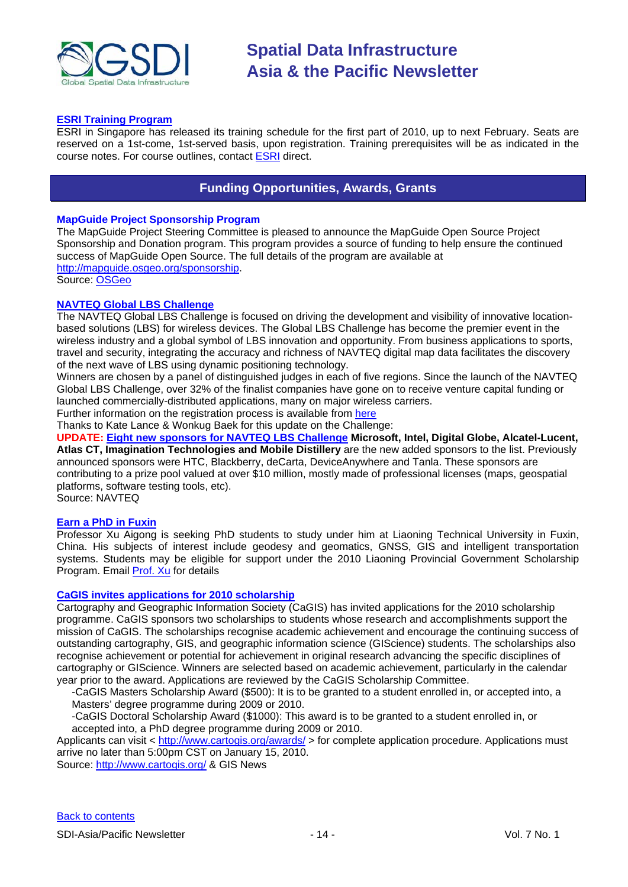

#### **[ESRI Training Program](http://www.esrisingapore.com.sg/training.html)**

ESRI in Singapore has released its training schedule for the first part of 2010, up to next February. Seats are reserved on a 1st-come, 1st-served basis, upon registration. Training prerequisites will be as indicated in the course notes. For course outlines, contact [ESRI](mailto:training@esrisa.com) direct.

# **Funding Opportunities, Awards, Grants**

#### <span id="page-13-0"></span>**MapGuide Project Sponsorship Program**

The MapGuide Project Steering Committee is pleased to announce the MapGuide Open Source Project Sponsorship and Donation program. This program provides a source of funding to help ensure the continued success of MapGuide Open Source. The full details of the program are available at [http://mapguide.osgeo.org/sponsorship.](http://mapguide.osgeo.org/sponsorship) Source: [OSGeo](http://www.osgeo.org/node/978)

#### **[NAVTEQ Global LBS](http://developer.navteq.com/site/global/market/lbs_challenge/p_lbs_home.jsp) Challenge**

The NAVTEQ Global LBS Challenge is focused on driving the development and visibility of innovative locationbased solutions (LBS) for wireless devices. The Global LBS Challenge has become the premier event in the wireless industry and a global symbol of LBS innovation and opportunity. From business applications to sports, travel and security, integrating the accuracy and richness of NAVTEQ digital map data facilitates the discovery of the next wave of LBS using dynamic positioning technology.

Winners are chosen by a panel of distinguished judges in each of five regions. Since the launch of the NAVTEQ Global LBS Challenge, over 32% of the finalist companies have gone on to receive venture capital funding or launched commercially-distributed applications, many on major wireless carriers.

Further information on the registration process is available from [here](http://developer.navteq.com/site/global/market/lbs_challenge/p_lbs_home.jsp)

Thanks to Kate Lance & Wonkug Baek for this update on the Challenge:

**UPDATE: [Eight new sponsors for NAVTEQ LBS Challenge](http://corporate.navteq.com/webapps/NewsUserServlet?action=NewsDetail&newsId=824&lang=en&englishonly=false) Microsoft, Intel, Digital Globe, Alcatel-Lucent, Atlas CT, Imagination Technologies and Mobile Distillery** are the new added sponsors to the list. Previously announced sponsors were HTC, Blackberry, deCarta, DeviceAnywhere and Tanla. These sponsors are contributing to a prize pool valued at over \$10 million, mostly made of professional licenses (maps, geospatial platforms, software testing tools, etc).

Source: NAVTEQ

#### **Earn a PhD in Fuxin**

Professor Xu Aigong is seeking PhD students to study under him at Liaoning Technical University in Fuxin, China. His subjects of interest include geodesy and geomatics, GNSS, GIS and intelligent transportation systems. Students may be eligible for support under the 2010 Liaoning Provincial Government Scholarship Program. Email [Prof. Xu](mailto:%22xu_ag@126.com%22) for details

#### **[CaGIS invites applications for 2010 scholarship](http://www.gisdevelopment.net/news/viewn.asp?id=GIS:N_jskaxqdmve)**

Cartography and Geographic Information Society (CaGIS) has invited applications for the 2010 scholarship programme. CaGIS sponsors two scholarships to students whose research and accomplishments support the mission of CaGIS. The scholarships recognise academic achievement and encourage the continuing success of outstanding cartography, GIS, and geographic information science (GIScience) students. The scholarships also recognise achievement or potential for achievement in original research advancing the specific disciplines of cartography or GIScience. Winners are selected based on academic achievement, particularly in the calendar year prior to the award. Applications are reviewed by the CaGIS Scholarship Committee.

-CaGIS Masters Scholarship Award (\$500): It is to be granted to a student enrolled in, or accepted into, a Masters' degree programme during 2009 or 2010.

-CaGIS Doctoral Scholarship Award (\$1000): This award is to be granted to a student enrolled in, or accepted into, a PhD degree programme during 2009 or 2010.

Applicants can visit <<http://www.cartogis.org/awards/> > for complete application procedure. Applications must arrive no later than 5:00pm CST on January 15, 2010.

Source: [http://www.cartogis.org/](http://www.cartogis.org/awards/cagis-scholarships/scholarship) & GIS News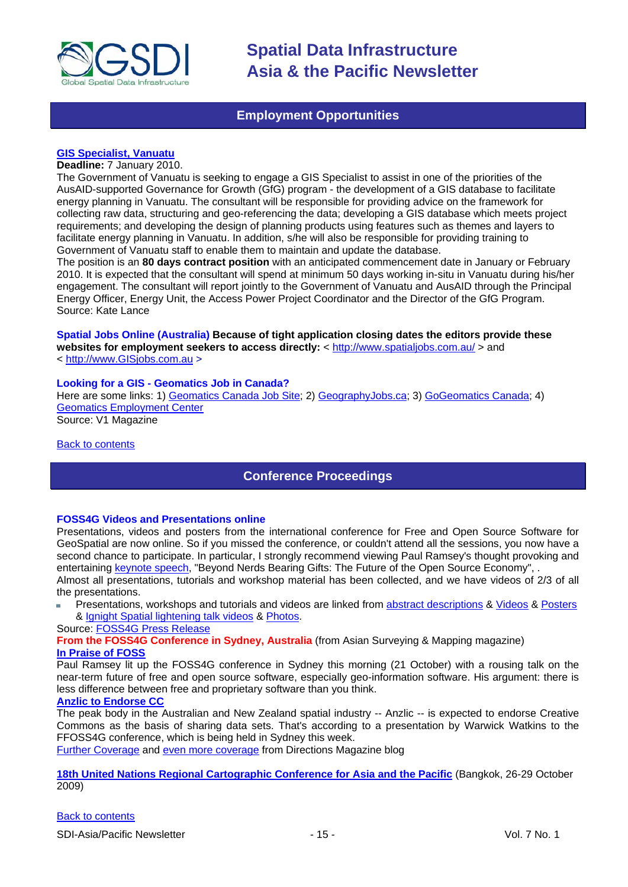

## **Employment Opportunities**

#### <span id="page-14-0"></span>**[GIS Specialist, Vanuatu](http://www.reliefweb.int/rw/res.nsf/db900SID/OCHA-7YWVGY?OpenDocument&RSS20=07-P)**

#### **Deadline:** 7 January 2010.

The Government of Vanuatu is seeking to engage a GIS Specialist to assist in one of the priorities of the AusAID-supported Governance for Growth (GfG) program - the development of a GIS database to facilitate energy planning in Vanuatu. The consultant will be responsible for providing advice on the framework for collecting raw data, structuring and geo-referencing the data; developing a GIS database which meets project requirements; and developing the design of planning products using features such as themes and layers to facilitate energy planning in Vanuatu. In addition, s/he will also be responsible for providing training to Government of Vanuatu staff to enable them to maintain and update the database.

The position is an **80 days contract position** with an anticipated commencement date in January or February 2010. It is expected that the consultant will spend at minimum 50 days working in-situ in Vanuatu during his/her engagement. The consultant will report jointly to the Government of Vanuatu and AusAID through the Principal Energy Officer, Energy Unit, the Access Power Project Coordinator and the Director of the GfG Program. Source: Kate Lance

**Spatial Jobs Online (Australia) Because of tight application closing dates the editors provide these websites for employment seekers to access directly:** <<http://www.spatialjobs.com.au/> > and < [http://www.GISjobs.com.au](http://www.gisjobs.com.au/) >

#### **Looking for a GIS - Geomatics Job in Canada?**

Here are some links: 1) [Geomatics Canada Job Site;](http://geomaticscanada.com/jobs.cfm) 2[\) GeographyJobs.ca;](http://www.geographyjobs.ca/) 3) [GoGeomatics Canada;](http://canada.gogeomatics.net/frmHome.aspx) 4) [Geomatics Employment Center](http://gisjobs.ca/)

Source: V1 Magazine

<span id="page-14-1"></span>[Back to contents](#page-0-0)

### **Conference Proceedings**

#### **FOSS4G Videos and Presentations online**

Presentations, videos and posters from the international conference for Free and Open Source Software for GeoSpatial are now online. So if you missed the conference, or couldn't attend all the sessions, you now have a second chance to participate. In particular, I strongly recommend viewing Paul Ramsey's thought provoking and entertaining [keynote speech,](http://2009.foss4g.org/speakers/#Paul_Ramsey) "Beyond Nerds Bearing Gifts: The Future of the Open Source Economy", .

Almost all presentations, tutorials and workshop material has been collected, and we have videos of 2/3 of all the presentations.

Presentations, workshops and tutorials and videos are linked from [abstract descriptions](http://2009.foss4g.org/schedule/) & [Videos](http://blip.tv/search?q=fosslc) & [Posters](http://wiki.osgeo.org/wiki/FOSS4G_2009_Posters) & [Ignight Spatial lightening talk videos](http://www.ignitespatial.com/?page_id=181) & [Photos.](http://www.flickr.com/photos/tags/foss4g2009/)

### Source: [FOSS4G Press Release](http://wiki.osgeo.org/wiki/FOSS4G_2009_Press_Release_41)

**From the FOSS4G Conference in Sydney, Australia** (from Asian Surveying & Mapping magazine) **[In Praise of FOSS](http://www.asmmag.com/news/in-praise-of-foss)**

Paul Ramsey lit up the FOSS4G conference in Sydney this morning (21 October) with a rousing talk on the near-term future of free and open source software, especially geo-information software. His argument: there is less difference between free and proprietary software than you think.

### **[Anzlic to Endorse CC](http://www.asmmag.com/news/anzlic-to-endorse-cc)**

The peak body in the Australian and New Zealand spatial industry -- Anzlic -- is expected to endorse Creative Commons as the basis of sharing data sets. That's according to a presentation by Warwick Watkins to the FFOSS4G conference, which is being held in Sydney this week.

[Further Coverage](http://apb.directionsmag.com/archives/6687-FOSS4G-Coverage-II.html) and [even more coverage](http://www.directionsmag.com/article.php?article_id=3314) from Directions Magazine blog

**[18th United Nations Regional Cartographic Conference for Asia and the Pacific](http://unstats.un.org/unsd/methods/cartog/Asia_and_Pacific/18/18th-UNRCC-AP-Docs.htm)** (Bangkok, 26-29 October 2009)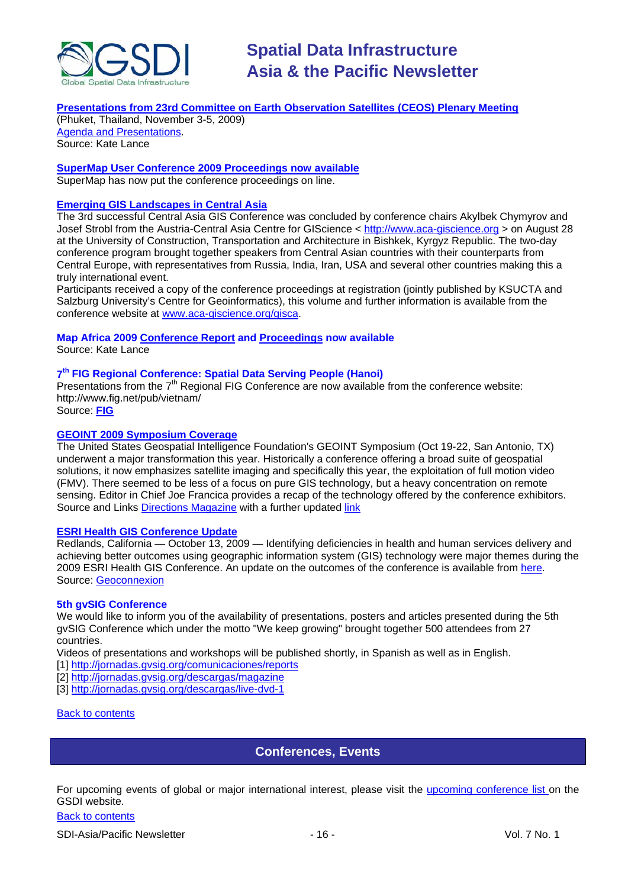

### **[Presentations from 23rd Committee on Earth Observation Satellites \(CEOS\) Plenary Meeting](http://conference.gistda.or.th/ceos2009/)**

(Phuket, Thailand, November 3-5, 2009) [Agenda and Presentations.](http://www.symbioscomms.com/ceos2009/ceos23agenda.html) Source: Kate Lance

### **[SuperMap User Conference 2009 Proceedings now available](http://www.supermap.com/events/SGC2009/index.asp)**

SuperMap has now put the conference proceedings on line.

#### **[Emerging GIS Landscapes in Central Asia](http://vector1media.com/events/event-coverage/8841-emerging-gis-landscapes-in-central-asia)**

The 3rd successful Central Asia GIS Conference was concluded by conference chairs Akylbek Chymyrov and Josef Strobl from the Austria-Central Asia Centre for GIScience < [http://www.aca-giscience.org](http://www.aca-giscience.org/) > on August 28 at the University of Construction, Transportation and Architecture in Bishkek, Kyrgyz Republic. The two-day conference program brought together speakers from Central Asian countries with their counterparts from Central Europe, with representatives from Russia, India, Iran, USA and several other countries making this a truly international event.

Participants received a copy of the conference proceedings at registration (jointly published by KSUCTA and Salzburg University's Centre for Geoinformatics), this volume and further information is available from the conference website at [www.aca-giscience.org/gisca.](http://www.aca-giscience.org/gisca)

#### **Map Africa 2009 [Conference Report](http://www.gisdevelopment.net/magazine/global/2009/October/50.htm) and [Proceedings](http://mapafrica.gisdevelopment.net/2009/proceeding/index.htm) now available**

Source: Kate Lance

### **7th FIG Regional Conference: Spatial Data Serving People (Hanoi)**

Presentations from the  $7<sup>th</sup>$  Regional FIG Conference are now available from the conference website: http://www.fig.net/pub/vietnam/

Source: **[FIG](http://www.fig.net/pub/vietnam/)**

#### **GEOINT 2009 Symposium Coverage**

The United States Geospatial Intelligence Foundation's GEOINT Symposium (Oct 19-22, San Antonio, TX) underwent a major transformation this year. Historically a conference offering a broad suite of geospatial solutions, it now emphasizes satellite imaging and specifically this year, the exploitation of full motion video (FMV). There seemed to be less of a focus on pure GIS technology, but a heavy concentration on remote sensing. Editor in Chief Joe Francica provides a recap of the technology offered by the conference exhibitors. Source and Links [Directions Magazine](http://www.directionsmedia.net/newsletters.archive/index.php?ID=1516) with a further updated [link](http://www.directionsmag.com/article.php?article_id=3319)

#### **ESRI Health GIS Conference Update**

Redlands, California — October 13, 2009 — Identifying deficiencies in health and human services delivery and achieving better outcomes using geographic information system (GIS) technology were major themes during the 2009 ESRI Health GIS Conference. An update on the outcomes of the conference is available from [here.](http://www.geoconnexion.com/geo_news_article/ESRI-Health-GIS-Conference-Update/6769) Source: [Geoconnexion](http://www.geoconnexion.com/geo_news_article/ESRI-Health-GIS-Conference-Update/6769)

#### **5th gvSIG Conference**

We would like to inform you of the availability of presentations, posters and articles presented during the 5th gvSIG Conference which under the motto "We keep growing" brought together 500 attendees from 27 countries.

Videos of presentations and workshops will be published shortly, in Spanish as well as in English.

- [1] [http://jornadas.gvsig.org/comunicaciones/reports](https://owa.unimelb.edu.au/exchweb/bin/redir.asp?URL=http://jornadas.gvsig.org/comunicaciones/reports)
- [2[\] http://jornadas.gvsig.org/descargas/magazine](https://owa.unimelb.edu.au/exchweb/bin/redir.asp?URL=http://jornadas.gvsig.org/descargas/magazine)
- [3[\] http://jornadas.gvsig.org/descargas/live-dvd-1](https://owa.unimelb.edu.au/exchweb/bin/redir.asp?URL=http://jornadas.gvsig.org/descargas/live-dvd-1)

#### <span id="page-15-0"></span>[Back to contents](#page-0-0)

#### **Conferences, Events**

For upcoming events of global or major international interest, please visit the [upcoming conference list o](http://gsdi.org/events/upcnf.asp)n the GSDI website.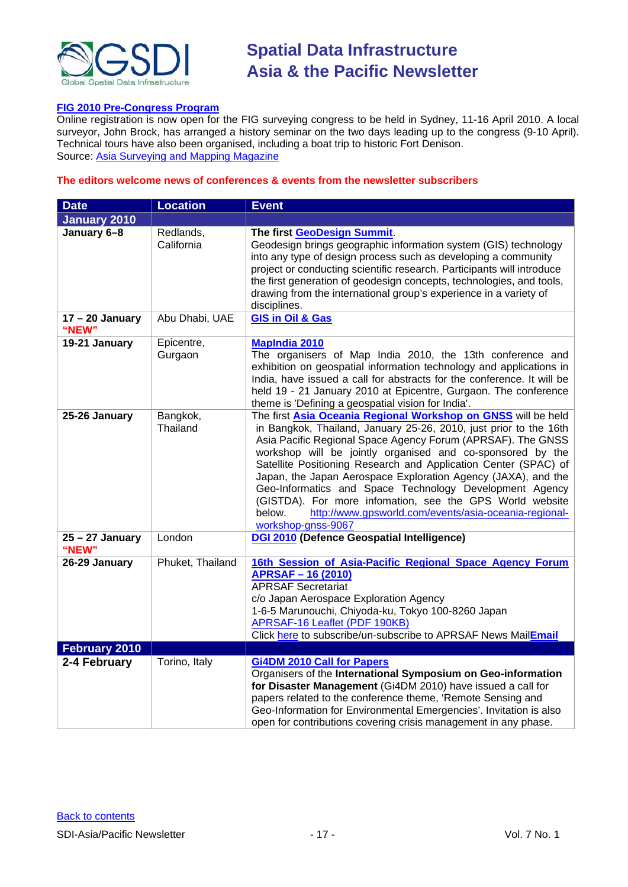

#### **[FIG 2010 Pre-Congress Program](http://www.asmmag.com/news/fig-2010-pre-congress-program)**

Online registration is now open for the FIG surveying congress to be held in Sydney, 11-16 April 2010. A local surveyor, John Brock, has arranged a history seminar on the two days leading up to the congress (9-10 April). Technical tours have also been organised, including a boat trip to historic Fort Denison. Source: [Asia Surveying and Mapping Magazine](http://www.asmmag.com/news/fig-2010-pre-congress-program)

#### **The editors welcome news of conferences & events from the newsletter subscribers**

| <b>Date</b>                | <b>Location</b>         | <b>Event</b>                                                                                                                                                                                                                                                                                                                                                                                                                                                                                                                                                                                                        |
|----------------------------|-------------------------|---------------------------------------------------------------------------------------------------------------------------------------------------------------------------------------------------------------------------------------------------------------------------------------------------------------------------------------------------------------------------------------------------------------------------------------------------------------------------------------------------------------------------------------------------------------------------------------------------------------------|
| <b>January 2010</b>        |                         |                                                                                                                                                                                                                                                                                                                                                                                                                                                                                                                                                                                                                     |
| January 6-8                | Redlands,<br>California | The first GeoDesign Summit.<br>Geodesign brings geographic information system (GIS) technology<br>into any type of design process such as developing a community<br>project or conducting scientific research. Participants will introduce<br>the first generation of geodesign concepts, technologies, and tools,<br>drawing from the international group's experience in a variety of<br>disciplines.                                                                                                                                                                                                             |
| $17 - 20$ January<br>"NEW" | Abu Dhabi, UAE          | <b>GIS in Oil &amp; Gas</b>                                                                                                                                                                                                                                                                                                                                                                                                                                                                                                                                                                                         |
| 19-21 January              | Epicentre,<br>Gurgaon   | <b>MapIndia 2010</b><br>The organisers of Map India 2010, the 13th conference and<br>exhibition on geospatial information technology and applications in<br>India, have issued a call for abstracts for the conference. It will be<br>held 19 - 21 January 2010 at Epicentre, Gurgaon. The conference<br>theme is 'Defining a geospatial vision for India'.                                                                                                                                                                                                                                                         |
| 25-26 January              | Bangkok,<br>Thailand    | The first Asia Oceania Regional Workshop on GNSS will be held<br>in Bangkok, Thailand, January 25-26, 2010, just prior to the 16th<br>Asia Pacific Regional Space Agency Forum (APRSAF). The GNSS<br>workshop will be jointly organised and co-sponsored by the<br>Satellite Positioning Research and Application Center (SPAC) of<br>Japan, the Japan Aerospace Exploration Agency (JAXA), and the<br>Geo-Informatics and Space Technology Development Agency<br>(GISTDA). For more infomation, see the GPS World website<br>below.<br>http://www.gpsworld.com/events/asia-oceania-regional-<br>workshop-gnss-9067 |
| $25 - 27$ January<br>"NEW" | London                  | DGI 2010 (Defence Geospatial Intelligence)                                                                                                                                                                                                                                                                                                                                                                                                                                                                                                                                                                          |
| 26-29 January              | Phuket, Thailand        | 16th Session of Asia-Pacific Regional Space Agency Forum<br><b>APRSAF-16 (2010)</b><br><b>APRSAF Secretariat</b><br>c/o Japan Aerospace Exploration Agency<br>1-6-5 Marunouchi, Chiyoda-ku, Tokyo 100-8260 Japan<br><b>APRSAF-16 Leaflet (PDF 190KB)</b><br>Click here to subscribe/un-subscribe to APRSAF News MailEmail                                                                                                                                                                                                                                                                                           |
| February 2010              |                         |                                                                                                                                                                                                                                                                                                                                                                                                                                                                                                                                                                                                                     |
| 2-4 February               | Torino, Italy           | <b>Gi4DM 2010 Call for Papers</b><br>Organisers of the International Symposium on Geo-information<br>for Disaster Management (Gi4DM 2010) have issued a call for<br>papers related to the conference theme, 'Remote Sensing and<br>Geo-Information for Environmental Emergencies'. Invitation is also<br>open for contributions covering crisis management in any phase.                                                                                                                                                                                                                                            |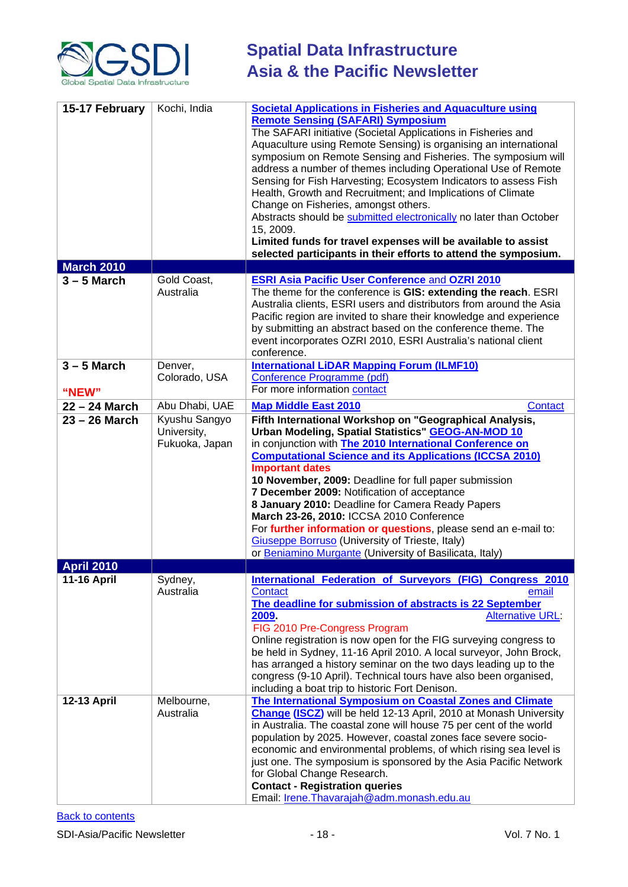

| 15-17 February     | Kochi, India                  | <b>Societal Applications in Fisheries and Aquaculture using</b><br><b>Remote Sensing (SAFARI) Symposium</b><br>The SAFARI initiative (Societal Applications in Fisheries and<br>Aquaculture using Remote Sensing) is organising an international<br>symposium on Remote Sensing and Fisheries. The symposium will<br>address a number of themes including Operational Use of Remote<br>Sensing for Fish Harvesting; Ecosystem Indicators to assess Fish<br>Health, Growth and Recruitment; and Implications of Climate<br>Change on Fisheries, amongst others.<br>Abstracts should be submitted electronically no later than October<br>15, 2009.<br>Limited funds for travel expenses will be available to assist<br>selected participants in their efforts to attend the symposium. |
|--------------------|-------------------------------|---------------------------------------------------------------------------------------------------------------------------------------------------------------------------------------------------------------------------------------------------------------------------------------------------------------------------------------------------------------------------------------------------------------------------------------------------------------------------------------------------------------------------------------------------------------------------------------------------------------------------------------------------------------------------------------------------------------------------------------------------------------------------------------|
| <b>March 2010</b>  |                               |                                                                                                                                                                                                                                                                                                                                                                                                                                                                                                                                                                                                                                                                                                                                                                                       |
| $3 - 5$ March      | Gold Coast,<br>Australia      | <b>ESRI Asia Pacific User Conference and OZRI 2010</b><br>The theme for the conference is GIS: extending the reach. ESRI<br>Australia clients, ESRI users and distributors from around the Asia<br>Pacific region are invited to share their knowledge and experience<br>by submitting an abstract based on the conference theme. The<br>event incorporates OZRI 2010, ESRI Australia's national client<br>conference.                                                                                                                                                                                                                                                                                                                                                                |
| $3 - 5$ March      | Denver,                       | <b>International LiDAR Mapping Forum (ILMF10)</b>                                                                                                                                                                                                                                                                                                                                                                                                                                                                                                                                                                                                                                                                                                                                     |
|                    | Colorado, USA                 | Conference Programme (pdf)                                                                                                                                                                                                                                                                                                                                                                                                                                                                                                                                                                                                                                                                                                                                                            |
| "NEW"              |                               | For more information contact                                                                                                                                                                                                                                                                                                                                                                                                                                                                                                                                                                                                                                                                                                                                                          |
| 22 - 24 March      | Abu Dhabi, UAE                | <b>Map Middle East 2010</b><br><b>Contact</b>                                                                                                                                                                                                                                                                                                                                                                                                                                                                                                                                                                                                                                                                                                                                         |
| 23 – 26 March      | Kyushu Sangyo                 | Fifth International Workshop on "Geographical Analysis,                                                                                                                                                                                                                                                                                                                                                                                                                                                                                                                                                                                                                                                                                                                               |
|                    | University,<br>Fukuoka, Japan | Urban Modeling, Spatial Statistics" GEOG-AN-MOD 10<br>in conjunction with The 2010 International Conference on<br><b>Computational Science and its Applications (ICCSA 2010)</b><br><b>Important dates</b><br>10 November, 2009: Deadline for full paper submission<br>7 December 2009: Notification of acceptance<br>8 January 2010: Deadline for Camera Ready Papers<br>March 23-26, 2010: ICCSA 2010 Conference<br>For further information or questions, please send an e-mail to:<br><b>Giuseppe Borruso</b> (University of Trieste, Italy)<br>or Beniamino Murgante (University of Basilicata, Italy)                                                                                                                                                                            |
| <b>April 2010</b>  |                               |                                                                                                                                                                                                                                                                                                                                                                                                                                                                                                                                                                                                                                                                                                                                                                                       |
| <b>11-16 April</b> | Sydney,<br>Australia          | International Federation of Surveyors (FIG) Congress 2010<br><b>Contact</b><br>email<br>The deadline for submission of abstracts is 22 September<br>2009.<br><b>Alternative URL:</b><br>FIG 2010 Pre-Congress Program<br>Online registration is now open for the FIG surveying congress to<br>be held in Sydney, 11-16 April 2010. A local surveyor, John Brock,<br>has arranged a history seminar on the two days leading up to the<br>congress (9-10 April). Technical tours have also been organised,<br>including a boat trip to historic Fort Denison.                                                                                                                                                                                                                           |
| <b>12-13 April</b> | Melbourne,<br>Australia       | The International Symposium on Coastal Zones and Climate<br><b>Change (ISCZ)</b> will be held 12-13 April, 2010 at Monash University<br>in Australia. The coastal zone will house 75 per cent of the world<br>population by 2025. However, coastal zones face severe socio-<br>economic and environmental problems, of which rising sea level is<br>just one. The symposium is sponsored by the Asia Pacific Network<br>for Global Change Research.<br><b>Contact - Registration queries</b><br>Email: Irene. Thavarajah@adm. monash. edu. au                                                                                                                                                                                                                                         |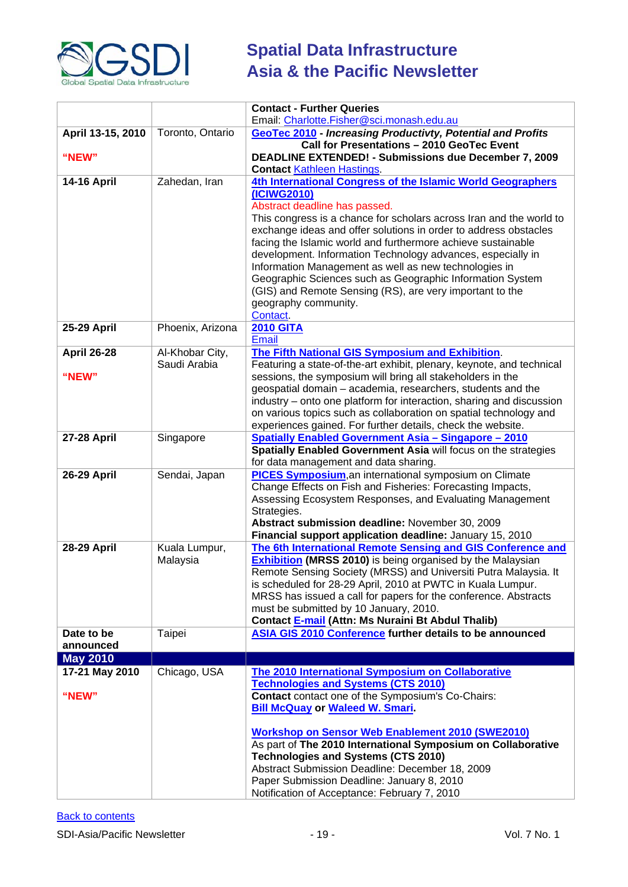

|                         |                  | <b>Contact - Further Queries</b>                                                                                                 |
|-------------------------|------------------|----------------------------------------------------------------------------------------------------------------------------------|
|                         |                  | Email: Charlotte.Fisher@sci.monash.edu.au                                                                                        |
| April 13-15, 2010       | Toronto, Ontario | GeoTec 2010 - Increasing Productivty, Potential and Profits                                                                      |
| "NEW"                   |                  | Call for Presentations - 2010 GeoTec Event<br><b>DEADLINE EXTENDED! - Submissions due December 7, 2009</b>                       |
|                         |                  | <b>Contact Kathleen Hastings</b>                                                                                                 |
| <b>14-16 April</b>      | Zahedan, Iran    | 4th International Congress of the Islamic World Geographers                                                                      |
|                         |                  | (ICIWG2010)                                                                                                                      |
|                         |                  | Abstract deadline has passed.                                                                                                    |
|                         |                  | This congress is a chance for scholars across Iran and the world to                                                              |
|                         |                  | exchange ideas and offer solutions in order to address obstacles                                                                 |
|                         |                  | facing the Islamic world and furthermore achieve sustainable                                                                     |
|                         |                  | development. Information Technology advances, especially in                                                                      |
|                         |                  | Information Management as well as new technologies in                                                                            |
|                         |                  | Geographic Sciences such as Geographic Information System                                                                        |
|                         |                  | (GIS) and Remote Sensing (RS), are very important to the<br>geography community.                                                 |
|                         |                  | Contact.                                                                                                                         |
| <b>25-29 April</b>      | Phoenix, Arizona | <b>2010 GITA</b>                                                                                                                 |
|                         |                  | <b>Email</b>                                                                                                                     |
| <b>April 26-28</b>      | Al-Khobar City,  | The Fifth National GIS Symposium and Exhibition.                                                                                 |
|                         | Saudi Arabia     | Featuring a state-of-the-art exhibit, plenary, keynote, and technical                                                            |
| "NEW"                   |                  | sessions, the symposium will bring all stakeholders in the                                                                       |
|                         |                  | geospatial domain - academia, researchers, students and the                                                                      |
|                         |                  | industry – onto one platform for interaction, sharing and discussion                                                             |
|                         |                  | on various topics such as collaboration on spatial technology and<br>experiences gained. For further details, check the website. |
| <b>27-28 April</b>      | Singapore        | <b>Spatially Enabled Government Asia - Singapore - 2010</b>                                                                      |
|                         |                  | Spatially Enabled Government Asia will focus on the strategies                                                                   |
|                         |                  | for data management and data sharing.                                                                                            |
| <b>26-29 April</b>      | Sendai, Japan    | <b>PICES Symposium, an international symposium on Climate</b>                                                                    |
|                         |                  | Change Effects on Fish and Fisheries: Forecasting Impacts,                                                                       |
|                         |                  | Assessing Ecosystem Responses, and Evaluating Management                                                                         |
|                         |                  | Strategies.                                                                                                                      |
|                         |                  | Abstract submission deadline: November 30, 2009<br>Financial support application deadline: January 15, 2010                      |
| <b>28-29 April</b>      | Kuala Lumpur,    | The 6th International Remote Sensing and GIS Conference and                                                                      |
|                         | Malaysia         | <b>Exhibition</b> (MRSS 2010) is being organised by the Malaysian                                                                |
|                         |                  | Remote Sensing Society (MRSS) and Universiti Putra Malaysia. It                                                                  |
|                         |                  | is scheduled for 28-29 April, 2010 at PWTC in Kuala Lumpur.                                                                      |
|                         |                  | MRSS has issued a call for papers for the conference. Abstracts                                                                  |
|                         |                  | must be submitted by 10 January, 2010.                                                                                           |
|                         |                  | Contact E-mail (Attn: Ms Nuraini Bt Abdul Thalib)<br>ASIA GIS 2010 Conference further details to be announced                    |
| Date to be<br>announced | Taipei           |                                                                                                                                  |
| <b>May 2010</b>         |                  |                                                                                                                                  |
| 17-21 May 2010          | Chicago, USA     | The 2010 International Symposium on Collaborative                                                                                |
|                         |                  | <b>Technologies and Systems (CTS 2010)</b>                                                                                       |
| "NEW"                   |                  | <b>Contact</b> contact one of the Symposium's Co-Chairs:                                                                         |
|                         |                  | <b>Bill McQuay or Waleed W. Smari.</b>                                                                                           |
|                         |                  |                                                                                                                                  |
|                         |                  | <b>Workshop on Sensor Web Enablement 2010 (SWE2010)</b>                                                                          |
|                         |                  | As part of The 2010 International Symposium on Collaborative                                                                     |
|                         |                  | <b>Technologies and Systems (CTS 2010)</b><br>Abstract Submission Deadline: December 18, 2009                                    |
|                         |                  | Paper Submission Deadline: January 8, 2010                                                                                       |
|                         |                  | Notification of Acceptance: February 7, 2010                                                                                     |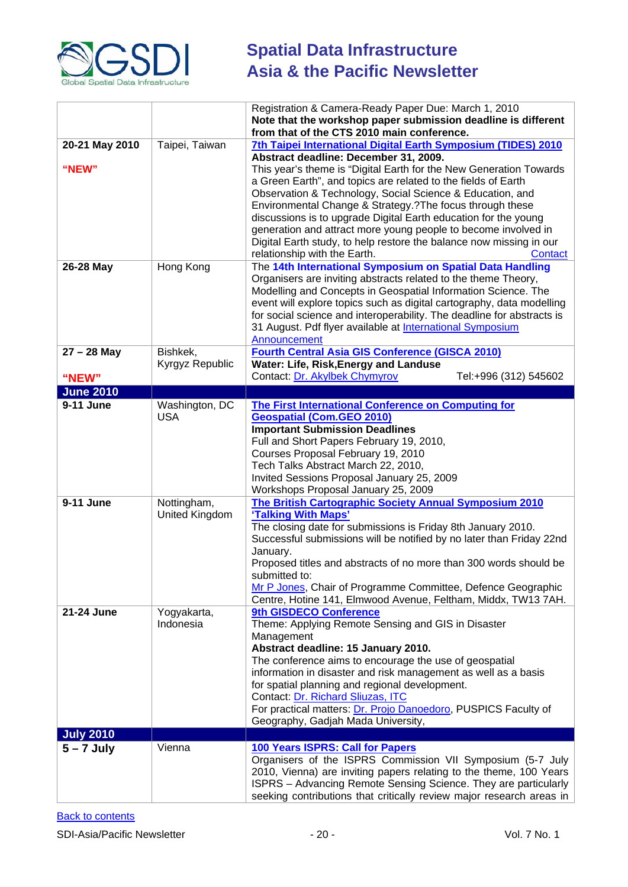

|                           |                               | Registration & Camera-Ready Paper Due: March 1, 2010<br>Note that the workshop paper submission deadline is different<br>from that of the CTS 2010 main conference.                                                                                                                                                                                                                                                                                                                                                                                                                                                           |
|---------------------------|-------------------------------|-------------------------------------------------------------------------------------------------------------------------------------------------------------------------------------------------------------------------------------------------------------------------------------------------------------------------------------------------------------------------------------------------------------------------------------------------------------------------------------------------------------------------------------------------------------------------------------------------------------------------------|
| 20-21 May 2010<br>"NEW"   | Taipei, Taiwan                | 7th Taipei International Digital Earth Symposium (TIDES) 2010<br>Abstract deadline: December 31, 2009.<br>This year's theme is "Digital Earth for the New Generation Towards<br>a Green Earth", and topics are related to the fields of Earth<br>Observation & Technology, Social Science & Education, and<br>Environmental Change & Strategy.?The focus through these<br>discussions is to upgrade Digital Earth education for the young<br>generation and attract more young people to become involved in<br>Digital Earth study, to help restore the balance now missing in our<br>relationship with the Earth.<br>Contact |
| 26-28 May                 | Hong Kong                     | The 14th International Symposium on Spatial Data Handling<br>Organisers are inviting abstracts related to the theme Theory,<br>Modelling and Concepts in Geospatial Information Science. The<br>event will explore topics such as digital cartography, data modelling<br>for social science and interoperability. The deadline for abstracts is<br>31 August. Pdf flyer available at International Symposium<br>Announcement                                                                                                                                                                                                  |
| $27 - 28$ May             | Bishkek,<br>Kyrgyz Republic   | <b>Fourth Central Asia GIS Conference (GISCA 2010)</b><br>Water: Life, Risk, Energy and Landuse<br>Contact: Dr. Akylbek Chymyrov<br>Tel:+996 (312) 545602                                                                                                                                                                                                                                                                                                                                                                                                                                                                     |
| "NEW"<br><b>June 2010</b> |                               |                                                                                                                                                                                                                                                                                                                                                                                                                                                                                                                                                                                                                               |
| 9-11 June                 | Washington, DC                | <b>The First International Conference on Computing for</b>                                                                                                                                                                                                                                                                                                                                                                                                                                                                                                                                                                    |
|                           | <b>USA</b>                    | <b>Geospatial (Com.GEO 2010)</b><br><b>Important Submission Deadlines</b><br>Full and Short Papers February 19, 2010,<br>Courses Proposal February 19, 2010<br>Tech Talks Abstract March 22, 2010,<br>Invited Sessions Proposal January 25, 2009<br>Workshops Proposal January 25, 2009                                                                                                                                                                                                                                                                                                                                       |
| 9-11 June                 | Nottingham,<br>United Kingdom | The British Cartographic Society Annual Symposium 2010<br>'Talking With Maps'<br>The closing date for submissions is Friday 8th January 2010.<br>Successful submissions will be notified by no later than Friday 22nd<br>January.<br>Proposed titles and abstracts of no more than 300 words should be<br>submitted to:<br>Mr P Jones, Chair of Programme Committee, Defence Geographic<br>Centre, Hotine 141, Elmwood Avenue, Feltham, Middx, TW13 7AH.                                                                                                                                                                      |
| 21-24 June                | Yogyakarta,<br>Indonesia      | 9th GISDECO Conference<br>Theme: Applying Remote Sensing and GIS in Disaster<br>Management<br>Abstract deadline: 15 January 2010.<br>The conference aims to encourage the use of geospatial<br>information in disaster and risk management as well as a basis<br>for spatial planning and regional development.<br>Contact: Dr. Richard Sliuzas, ITC<br>For practical matters: Dr. Projo Danoedoro, PUSPICS Faculty of<br>Geography, Gadjah Mada University,                                                                                                                                                                  |
| <b>July 2010</b>          |                               |                                                                                                                                                                                                                                                                                                                                                                                                                                                                                                                                                                                                                               |
| $5 - 7$ July              | Vienna                        | 100 Years ISPRS: Call for Papers<br>Organisers of the ISPRS Commission VII Symposium (5-7 July<br>2010, Vienna) are inviting papers relating to the theme, 100 Years<br>ISPRS - Advancing Remote Sensing Science. They are particularly<br>seeking contributions that critically review major research areas in                                                                                                                                                                                                                                                                                                               |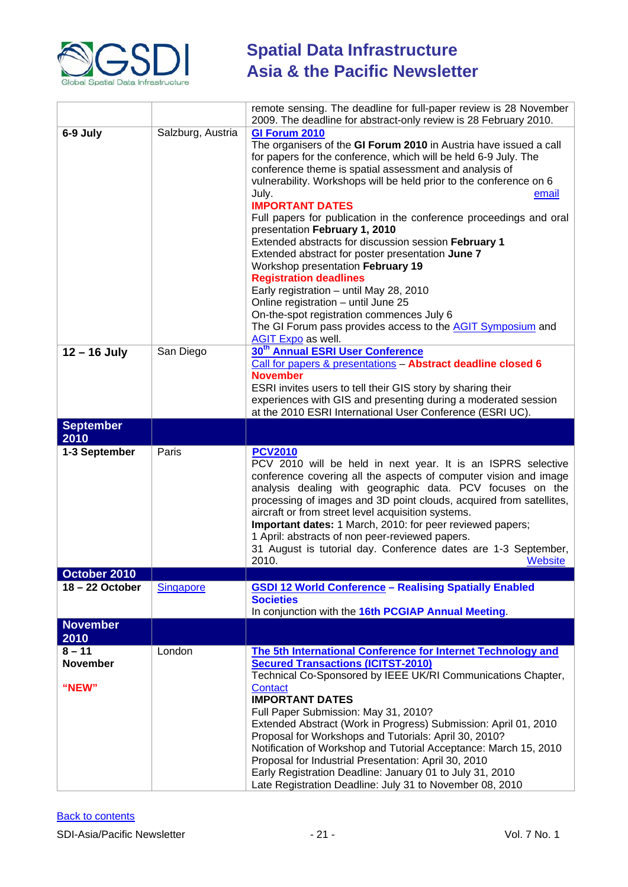

|                                      |                   | remote sensing. The deadline for full-paper review is 28 November<br>2009. The deadline for abstract-only review is 28 February 2010.                                                                                                                                                                                                                                                                                                                                                                                                                                                                                                                                                                                                                                                                                                                        |
|--------------------------------------|-------------------|--------------------------------------------------------------------------------------------------------------------------------------------------------------------------------------------------------------------------------------------------------------------------------------------------------------------------------------------------------------------------------------------------------------------------------------------------------------------------------------------------------------------------------------------------------------------------------------------------------------------------------------------------------------------------------------------------------------------------------------------------------------------------------------------------------------------------------------------------------------|
| 6-9 July                             | Salzburg, Austria | GI Forum 2010<br>The organisers of the GI Forum 2010 in Austria have issued a call<br>for papers for the conference, which will be held 6-9 July. The<br>conference theme is spatial assessment and analysis of<br>vulnerability. Workshops will be held prior to the conference on 6<br>July.<br>email<br><b>IMPORTANT DATES</b><br>Full papers for publication in the conference proceedings and oral<br>presentation February 1, 2010<br>Extended abstracts for discussion session February 1<br>Extended abstract for poster presentation June 7<br>Workshop presentation February 19<br><b>Registration deadlines</b><br>Early registration - until May 28, 2010<br>Online registration - until June 25<br>On-the-spot registration commences July 6<br>The GI Forum pass provides access to the <b>AGIT Symposium</b> and<br><b>AGIT Expo</b> as well. |
| $12 - 16$ July                       | San Diego         | 30 <sup>th</sup> Annual ESRI User Conference<br>Call for papers & presentations - Abstract deadline closed 6<br><b>November</b><br>ESRI invites users to tell their GIS story by sharing their<br>experiences with GIS and presenting during a moderated session<br>at the 2010 ESRI International User Conference (ESRI UC).                                                                                                                                                                                                                                                                                                                                                                                                                                                                                                                                |
| <b>September</b><br>2010             |                   |                                                                                                                                                                                                                                                                                                                                                                                                                                                                                                                                                                                                                                                                                                                                                                                                                                                              |
| 1-3 September                        | Paris             | <b>PCV2010</b><br>PCV 2010 will be held in next year. It is an ISPRS selective<br>conference covering all the aspects of computer vision and image<br>analysis dealing with geographic data. PCV focuses on the<br>processing of images and 3D point clouds, acquired from satellites,<br>aircraft or from street level acquisition systems.<br>Important dates: 1 March, 2010: for peer reviewed papers;<br>1 April: abstracts of non peer-reviewed papers.<br>31 August is tutorial day. Conference dates are 1-3 September,<br>2010.<br><b>Website</b>                                                                                                                                                                                                                                                                                                    |
| October 2010                         |                   |                                                                                                                                                                                                                                                                                                                                                                                                                                                                                                                                                                                                                                                                                                                                                                                                                                                              |
| 18 - 22 October                      | <b>Singapore</b>  | <b>GSDI 12 World Conference - Realising Spatially Enabled</b><br><b>Societies</b><br>In conjunction with the 16th PCGIAP Annual Meeting.                                                                                                                                                                                                                                                                                                                                                                                                                                                                                                                                                                                                                                                                                                                     |
| <b>November</b><br>2010              |                   |                                                                                                                                                                                                                                                                                                                                                                                                                                                                                                                                                                                                                                                                                                                                                                                                                                                              |
| $8 - 11$<br><b>November</b><br>"NEW" | London            | The 5th International Conference for Internet Technology and<br><b>Secured Transactions (ICITST-2010)</b><br>Technical Co-Sponsored by IEEE UK/RI Communications Chapter,<br>Contact<br><b>IMPORTANT DATES</b><br>Full Paper Submission: May 31, 2010?<br>Extended Abstract (Work in Progress) Submission: April 01, 2010<br>Proposal for Workshops and Tutorials: April 30, 2010?<br>Notification of Workshop and Tutorial Acceptance: March 15, 2010<br>Proposal for Industrial Presentation: April 30, 2010<br>Early Registration Deadline: January 01 to July 31, 2010<br>Late Registration Deadline: July 31 to November 08, 2010                                                                                                                                                                                                                       |